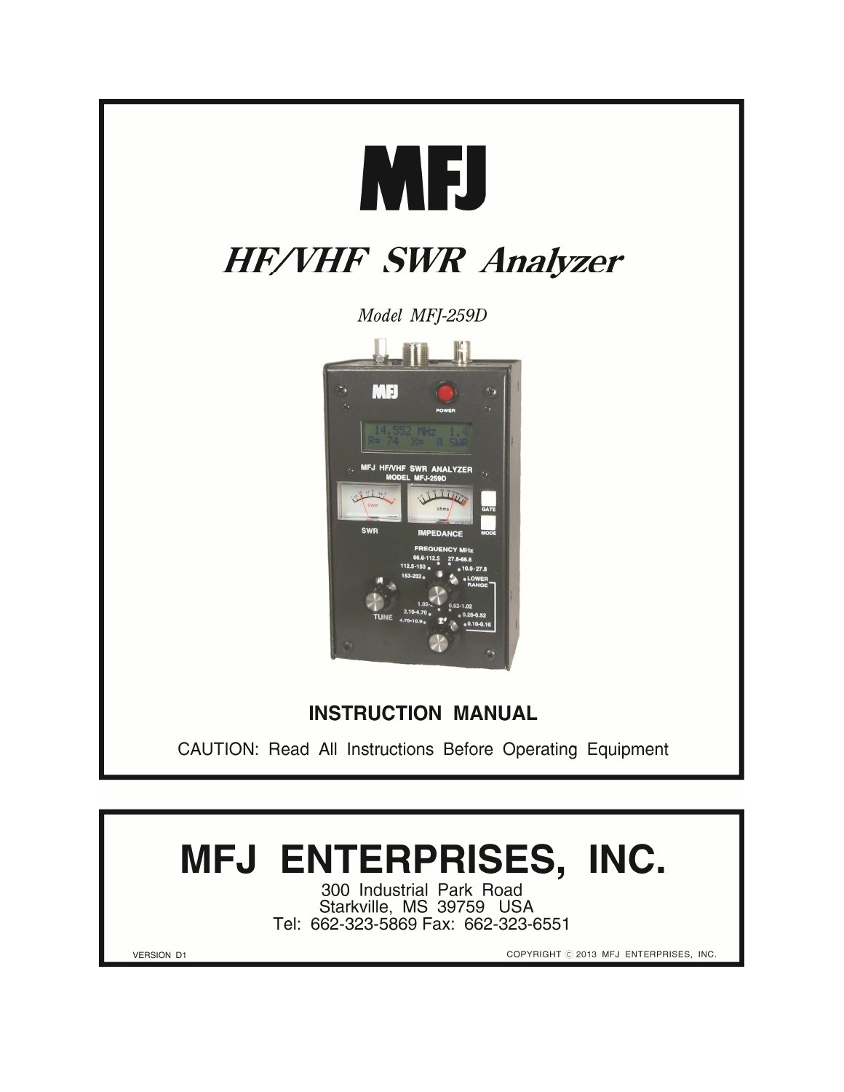

# MFJ ENTERPRISES, INC.

300 Industrial Park Road<br>Starkville, MS 39759 USA Tel: 662-323-5869 Fax: 662-323-6551

COPYRIGHT © 2013 MFJ ENTERPRISES, INC.

**VERSION D1**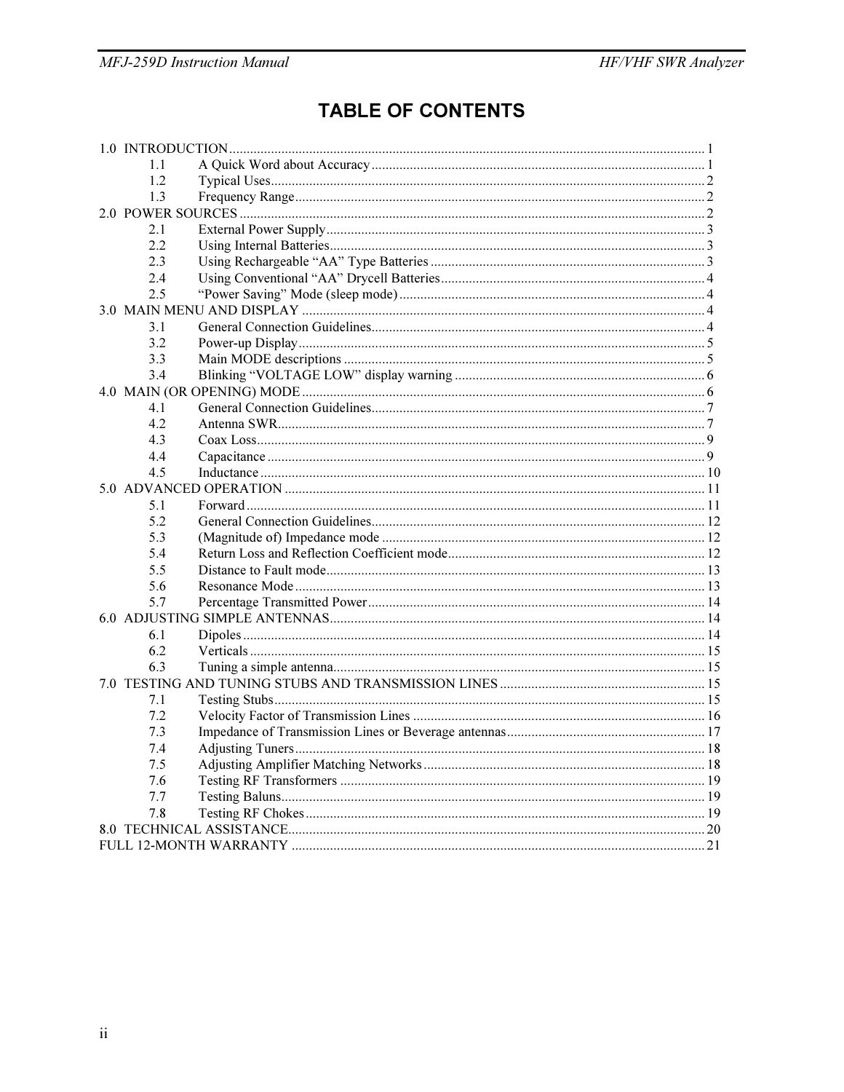# **TABLE OF CONTENTS**

| 1.1<br>1.2<br>1.3<br>2.1<br>2.2.<br>2.3<br>2.4<br>2.5<br>3.1<br>3.2<br>3.3<br>3.4<br>4.1<br>4.2<br>4.3<br>4.4<br>4.5 |
|----------------------------------------------------------------------------------------------------------------------|
|                                                                                                                      |
|                                                                                                                      |
|                                                                                                                      |
|                                                                                                                      |
|                                                                                                                      |
|                                                                                                                      |
|                                                                                                                      |
|                                                                                                                      |
|                                                                                                                      |
|                                                                                                                      |
|                                                                                                                      |
|                                                                                                                      |
|                                                                                                                      |
|                                                                                                                      |
|                                                                                                                      |
|                                                                                                                      |
|                                                                                                                      |
|                                                                                                                      |
|                                                                                                                      |
|                                                                                                                      |
|                                                                                                                      |
| 5.1                                                                                                                  |
| 5.2                                                                                                                  |
| 5.3                                                                                                                  |
| 5.4                                                                                                                  |
| 5.5                                                                                                                  |
| 5.6                                                                                                                  |
| 5.7                                                                                                                  |
|                                                                                                                      |
| 6.1                                                                                                                  |
| 6.2                                                                                                                  |
| 6.3                                                                                                                  |
|                                                                                                                      |
| 7.1                                                                                                                  |
| 7.2                                                                                                                  |
| 7.3                                                                                                                  |
| 7.4                                                                                                                  |
| 7.5                                                                                                                  |
| 7.6                                                                                                                  |
| 7.7                                                                                                                  |
| 7.8                                                                                                                  |
|                                                                                                                      |
|                                                                                                                      |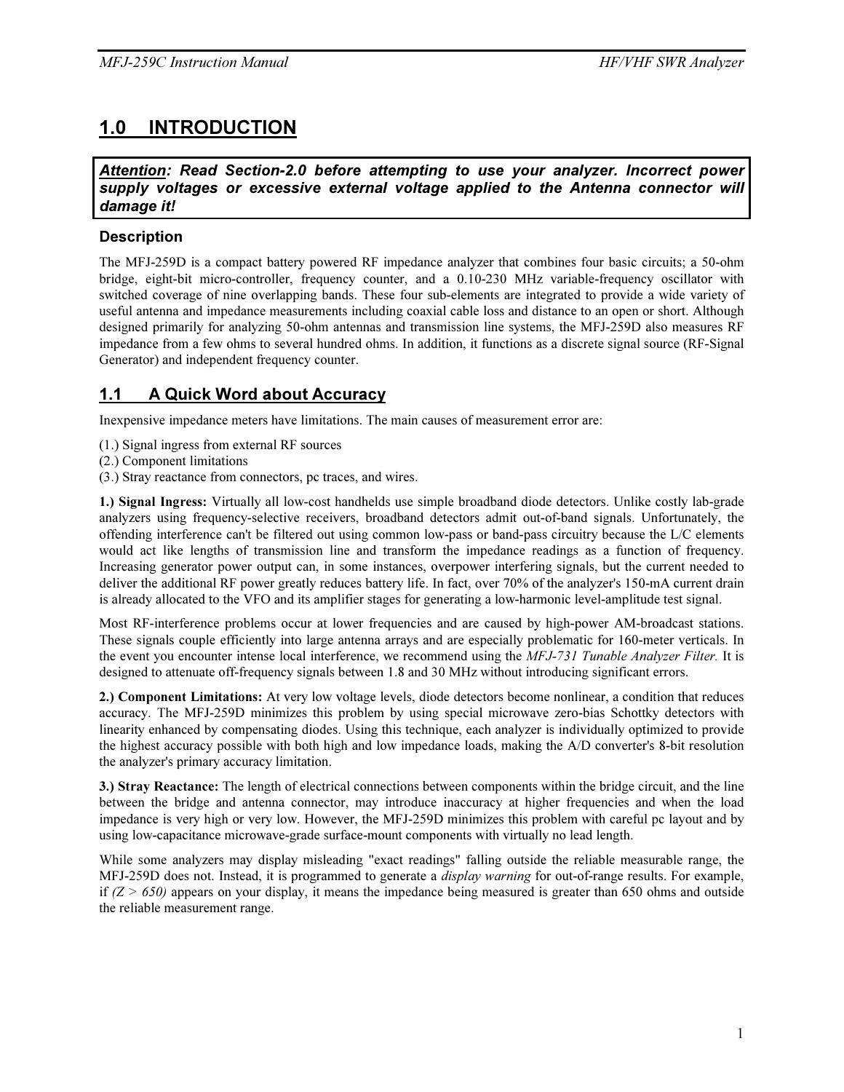# 1.0 INTRODUCTION

*Attention: Read Section-2.0 before attempting to use your analyzer. Incorrect power*  supply voltages or excessive external voltage applied to the Antenna connector will *damage it!*

#### **Description**

The MFJ-259D is a compact battery powered RF impedance analyzer that combines four basic circuits; a 50-ohm bridge, eight-bit micro-controller, frequency counter, and a 0.10-230 MHz variable-frequency oscillator with switched coverage of nine overlapping bands. These four sub-elements are integrated to provide a wide variety of useful antenna and impedance measurements including coaxial cable loss and distance to an open or short. Although designed primarily for analyzing 50-ohm antennas and transmission line systems, the MFJ-259D also measures RF impedance from a few ohms to several hundred ohms. In addition, it functions as a discrete signal source (RF-Signal Generator) and independent frequency counter.

### 1.1 A Quick Word about Accuracy

Inexpensive impedance meters have limitations. The main causes of measurement error are:

- (1.) Signal ingress from external RF sources
- (2.) Component limitations

(3.) Stray reactance from connectors, pc traces, and wires.

1.) Signal Ingress: Virtually all low-cost handhelds use simple broadband diode detectors. Unlike costly lab-grade analyzers using frequency-selective receivers, broadband detectors admit out-of-band signals. Unfortunately, the offending interference can't be filtered out using common low-pass or band-pass circuitry because the L/C elements would act like lengths of transmission line and transform the impedance readings as a function of frequency. Increasing generator power output can, in some instances, overpower interfering signals, but the current needed to deliver the additional RF power greatly reduces battery life. In fact, over 70% of the analyzer's 150-mA current drain is already allocated to the VFO and its amplifier stages for generating a low-harmonic level-amplitude test signal.

Most RF-interference problems occur at lower frequencies and are caused by high-power AM-broadcast stations. These signals couple efficiently into large antenna arrays and are especially problematic for 160-meter verticals. In the event you encounter intense local interference, we recommend using the MFJ-731 Tunable Analyzer Filter. It is designed to attenuate off-frequency signals between 1.8 and 30 MHz without introducing significant errors.

2.) Component Limitations: At very low voltage levels, diode detectors become nonlinear, a condition that reduces accuracy. The MFJ-259D minimizes this problem by using special microwave zero-bias Schottky detectors with linearity enhanced by compensating diodes. Using this technique, each analyzer is individually optimized to provide the highest accuracy possible with both high and low impedance loads, making the A/D converter's 8-bit resolution the analyzer's primary accuracy limitation.

3.) Stray Reactance: The length of electrical connections between components within the bridge circuit, and the line between the bridge and antenna connector, may introduce inaccuracy at higher frequencies and when the load impedance is very high or very low. However, the MFJ-259D minimizes this problem with careful pc layout and by using low-capacitance microwave-grade surface-mount components with virtually no lead length.

While some analyzers may display misleading "exact readings" falling outside the reliable measurable range, the MFJ-259D does not. Instead, it is programmed to generate a *display warning* for out-of-range results. For example, if  $(Z > 650)$  appears on your display, it means the impedance being measured is greater than 650 ohms and outside the reliable measurement range.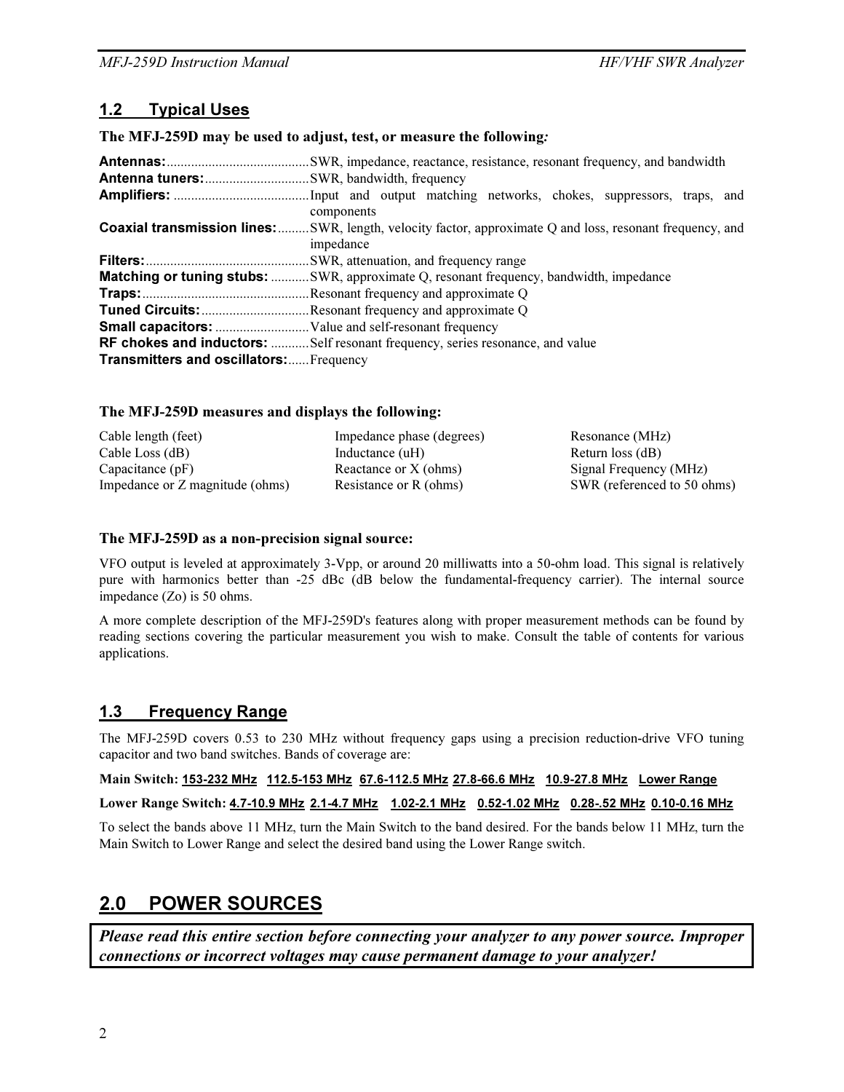# 1.2 Typical Uses

The MFJ-259D may be used to adjust, test, or measure the following*:* 

|                                                | components                                                                                                                    |
|------------------------------------------------|-------------------------------------------------------------------------------------------------------------------------------|
|                                                | <b>Coaxial transmission lines:</b> SWR, length, velocity factor, approximate Q and loss, resonant frequency, and<br>impedance |
|                                                |                                                                                                                               |
|                                                | <b>Matching or tuning stubs:</b> SWR, approximate Q, resonant frequency, bandwidth, impedance                                 |
|                                                |                                                                                                                               |
|                                                | Tuned Circuits: Resonant frequency and approximate Q                                                                          |
|                                                |                                                                                                                               |
|                                                | <b>RF chokes and inductors:</b> Self resonant frequency, series resonance, and value                                          |
| <b>Transmitters and oscillators:</b> Frequency |                                                                                                                               |

#### The MFJ-259D measures and displays the following:

| Cable length (feet)             | Impedance phase (degrees) | Resonance (MHz)             |
|---------------------------------|---------------------------|-----------------------------|
| Cable Loss (dB)                 | Inductance (uH)           | Return loss (dB)            |
| Capacitance $(pF)$              | Reactance or X (ohms)     | Signal Frequency (MHz)      |
| Impedance or Z magnitude (ohms) | Resistance or R (ohms)    | SWR (referenced to 50 ohms) |

#### The MFJ-259D as a non-precision signal source:

VFO output is leveled at approximately 3-Vpp, or around 20 milliwatts into a 50-ohm load. This signal is relatively pure with harmonics better than -25 dBc (dB below the fundamental-frequency carrier). The internal source impedance (Zo) is 50 ohms.

A more complete description of the MFJ-259D's features along with proper measurement methods can be found by reading sections covering the particular measurement you wish to make. Consult the table of contents for various applications.

# 1.3 Frequency Range

The MFJ-259D covers 0.53 to 230 MHz without frequency gaps using a precision reduction-drive VFO tuning capacitor and two band switches. Bands of coverage are:

Main Switch: 153-232 MHz 112.5-153 MHz 67.6-112.5 MHz 27.8-66.6 MHz 10.9-27.8 MHz Lower Range

Lower Range Switch: 4.7-10.9 MHz 2.1-4.7 MHz 1.02-2.1 MHz 0.52-1.02 MHz 0.28-.52 MHz 0.10-0.16 MHz

To select the bands above 11 MHz, turn the Main Switch to the band desired. For the bands below 11 MHz, turn the Main Switch to Lower Range and select the desired band using the Lower Range switch.

# 2.0 POWER SOURCES

Please read this entire section before connecting your analyzer to any power source. Improper connections or incorrect voltages may cause permanent damage to your analyzer!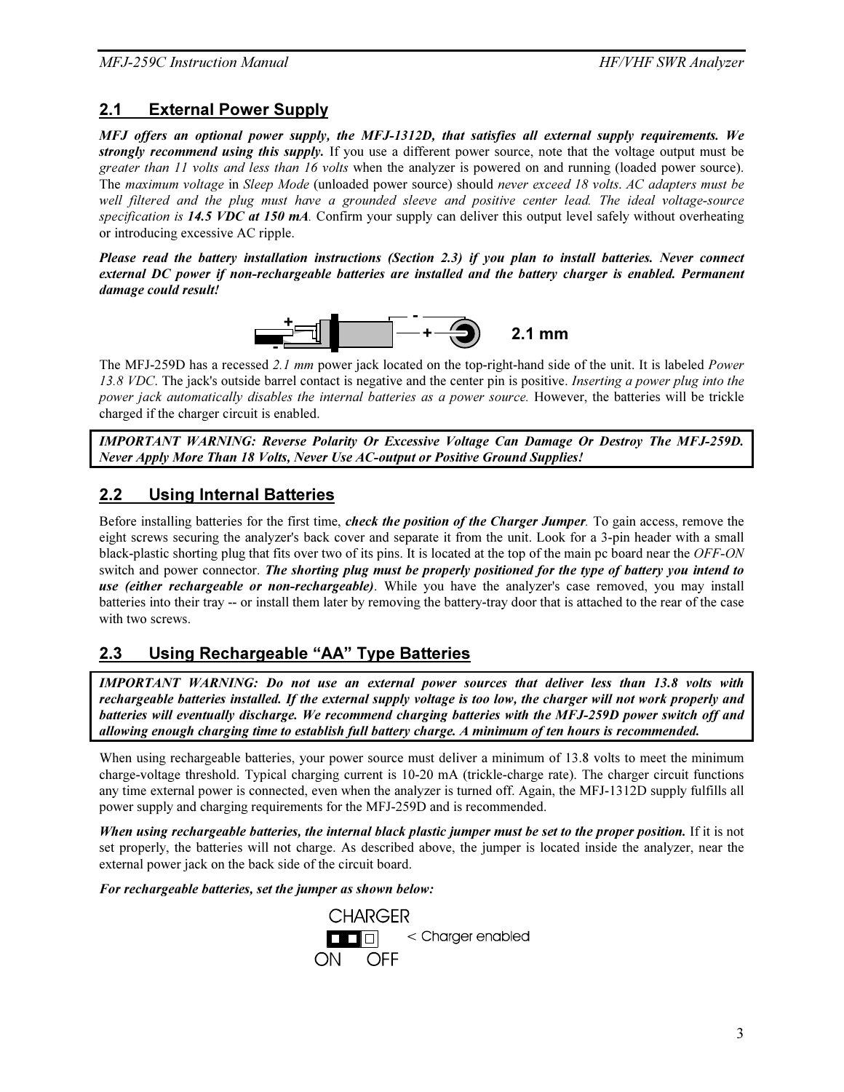### 2.1 External Power Supply

*MFJ offers an optional power supply, the MFJ-1312D, that satisfies all external supply requirements. We strongly recommend using this supply.* If you use a different power source, note that the voltage output must be greater than 11 volts and less than 16 volts when the analyzer is powered on and running (loaded power source). The maximum voltage in Sleep Mode (unloaded power source) should never exceed 18 volts. AC adapters must be well filtered and the plug must have a grounded sleeve and positive center lead. The ideal voltage-source specification is **14.5 VDC at 150 mA**. Confirm your supply can deliver this output level safely without overheating or introducing excessive AC ripple.

*Please read the battery installation instructions (Section 2.3) if you plan to install batteries. Never connect external DC power if non-rechargeable batteries are installed and the battery charger is enabled. Permanent damage could result!* 



The MFJ-259D has a recessed 2.1 mm power jack located on the top-right-hand side of the unit. It is labeled Power 13.8 VDC. The jack's outside barrel contact is negative and the center pin is positive. Inserting a power plug into the power jack automatically disables the internal batteries as a power source. However, the batteries will be trickle charged if the charger circuit is enabled.

*IMPORTANT WARNING: Reverse Polarity Or Excessive Voltage Can Damage Or Destroy The MFJ-259D. Never Apply More Than 18 Volts, Never Use AC-output or Positive Ground Supplies!* 

# 2.2 Using Internal Batteries

Before installing batteries for the first time, *check the position of the Charger Jumper*. To gain access, remove the eight screws securing the analyzer's back cover and separate it from the unit. Look for a 3-pin header with a small black-plastic shorting plug that fits over two of its pins. It is located at the top of the main pc board near the OFF-ON switch and power connector. *The shorting plug must be properly positioned for the type of battery you intend to use (either rechargeable or non-rechargeable)*. While you have the analyzer's case removed, you may install batteries into their tray -- or install them later by removing the battery-tray door that is attached to the rear of the case with two screws.

# 2.3 Using Rechargeable "AA" Type Batteries

*IMPORTANT WARNING: Do not use an external power sources that deliver less than 13.8 volts with rechargeable batteries installed. If the external supply voltage is too low, the charger will not work properly and batteries will eventually discharge. We recommend charging batteries with the MFJ-259D power switch off and allowing enough charging time to establish full battery charge. A minimum of ten hours is recommended.* 

When using rechargeable batteries, your power source must deliver a minimum of 13.8 volts to meet the minimum charge-voltage threshold. Typical charging current is 10-20 mA (trickle-charge rate). The charger circuit functions any time external power is connected, even when the analyzer is turned off. Again, the MFJ-1312D supply fulfills all power supply and charging requirements for the MFJ-259D and is recommended.

*When using rechargeable batteries, the internal black plastic jumper must be set to the proper position.* If it is not set properly, the batteries will not charge. As described above, the jumper is located inside the analyzer, near the external power jack on the back side of the circuit board.

*For rechargeable batteries, set the jumper as shown below:* 

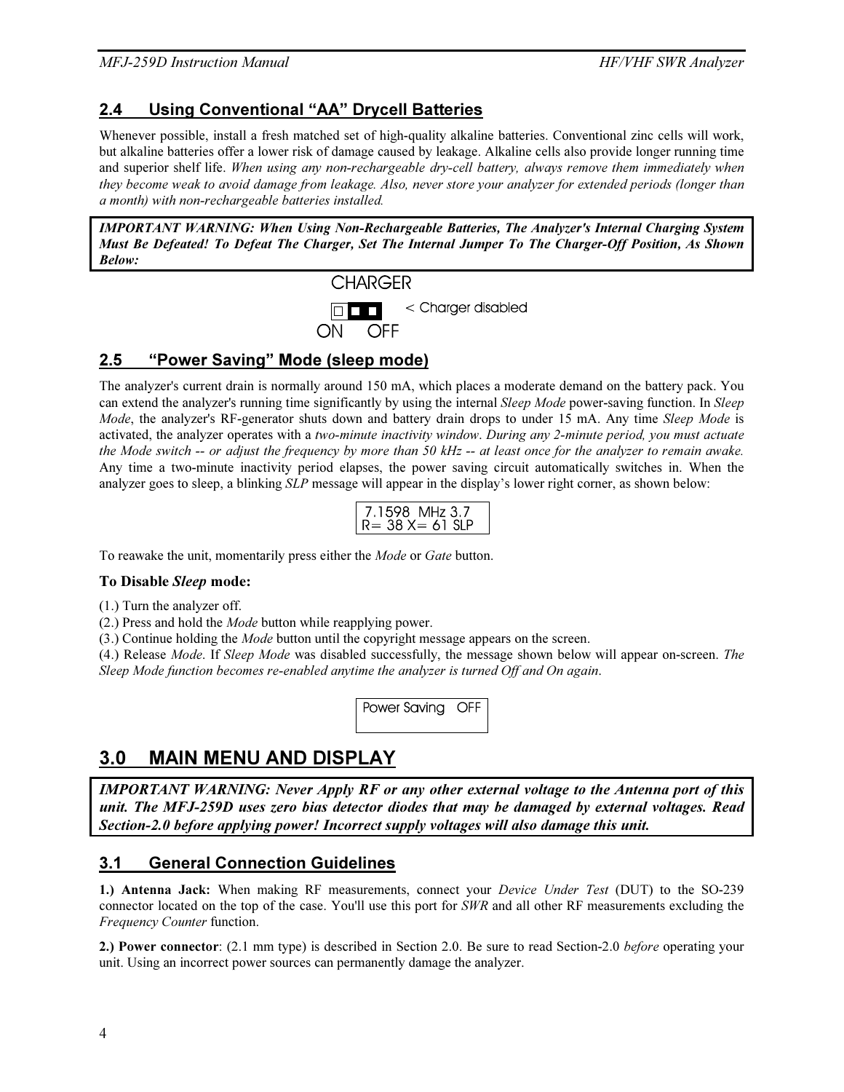# 2.4 Using Conventional "AA" Drycell Batteries

Whenever possible, install a fresh matched set of high-quality alkaline batteries. Conventional zinc cells will work, but alkaline batteries offer a lower risk of damage caused by leakage. Alkaline cells also provide longer running time and superior shelf life. When using any non-rechargeable dry-cell battery, always remove them immediately when they become weak to avoid damage from leakage. Also, never store your analyzer for extended periods (longer than a month) with non-rechargeable batteries installed.

*IMPORTANT WARNING: When Using Non-Rechargeable Batteries, The Analyzer's Internal Charging System Must Be Defeated! To Defeat The Charger, Set The Internal Jumper To The Charger-Off Position, As Shown Below:* 



# 2.5 "Power Saving" Mode (sleep mode)

The analyzer's current drain is normally around 150 mA, which places a moderate demand on the battery pack. You can extend the analyzer's running time significantly by using the internal Sleep Mode power-saving function. In Sleep Mode, the analyzer's RF-generator shuts down and battery drain drops to under 15 mA. Any time Sleep Mode is activated, the analyzer operates with a two-minute inactivity window. During any 2-minute period, you must actuate the Mode switch -- or adjust the frequency by more than 50 kHz -- at least once for the analyzer to remain awake. Any time a two-minute inactivity period elapses, the power saving circuit automatically switches in. When the analyzer goes to sleep, a blinking SLP message will appear in the display's lower right corner, as shown below:

| 7.1598 MHz 3.7      |  |
|---------------------|--|
|                     |  |
|                     |  |
| $=$ 38 X $=$ 61 SIP |  |
|                     |  |
|                     |  |

To reawake the unit, momentarily press either the Mode or Gate button.

#### To Disable *Sleep* mode:

(1.) Turn the analyzer off.

(2.) Press and hold the Mode button while reapplying power.

(3.) Continue holding the Mode button until the copyright message appears on the screen.

(4.) Release Mode. If Sleep Mode was disabled successfully, the message shown below will appear on-screen. The Sleep Mode function becomes re-enabled anytime the analyzer is turned Off and On again.

Power Saving OFF

# 3.0 MAIN MENU AND DISPLAY

*IMPORTANT WARNING: Never Apply RF or any other external voltage to the Antenna port of this unit. The MFJ-259D uses zero bias detector diodes that may be damaged by external voltages. Read Section-2.0 before applying power! Incorrect supply voltages will also damage this unit.* 

# 3.1 General Connection Guidelines

1.) Antenna Jack: When making RF measurements, connect your *Device Under Test* (DUT) to the SO-239 connector located on the top of the case. You'll use this port for SWR and all other RF measurements excluding the Frequency Counter function.

2.) Power connector: (2.1 mm type) is described in Section 2.0. Be sure to read Section-2.0 before operating your unit. Using an incorrect power sources can permanently damage the analyzer.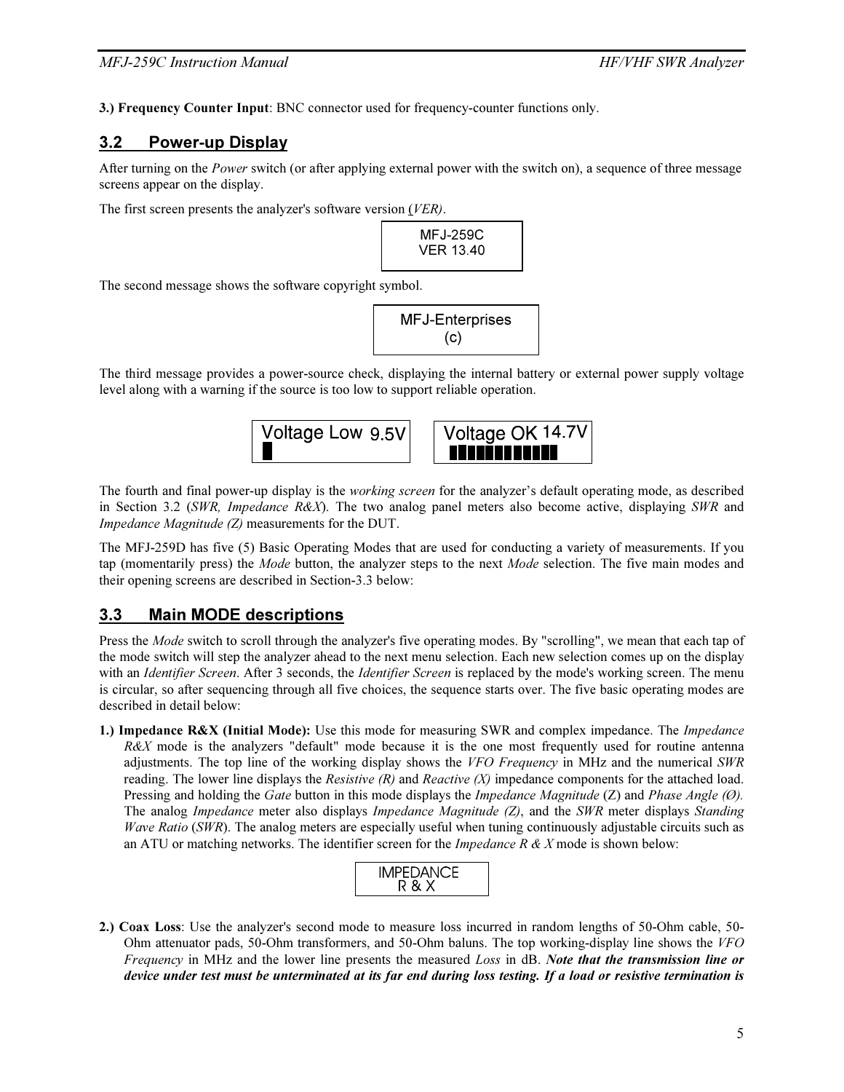3.) Frequency Counter Input: BNC connector used for frequency-counter functions only.

### 3.2 Power-up Display

After turning on the *Power* switch (or after applying external power with the switch on), a sequence of three message screens appear on the display.

The first screen presents the analyzer's software version (VER).

MFJ-259C VER 13.40

The second message shows the software copyright symbol.

MFJ-Enterprises (c)

The third message provides a power-source check, displaying the internal battery or external power supply voltage level along with a warning if the source is too low to support reliable operation.



The fourth and final power-up display is the working screen for the analyzer's default operating mode, as described in Section 3.2 (SWR, Impedance  $R\&X$ ). The two analog panel meters also become active, displaying SWR and Impedance Magnitude (Z) measurements for the DUT.

The MFJ-259D has five (5) Basic Operating Modes that are used for conducting a variety of measurements. If you tap (momentarily press) the *Mode* button, the analyzer steps to the next *Mode* selection. The five main modes and their opening screens are described in Section-3.3 below:

#### 3.3 Main MODE descriptions

Press the *Mode* switch to scroll through the analyzer's five operating modes. By "scrolling", we mean that each tap of the mode switch will step the analyzer ahead to the next menu selection. Each new selection comes up on the display with an *Identifier Screen*. After 3 seconds, the *Identifier Screen* is replaced by the mode's working screen. The menu is circular, so after sequencing through all five choices, the sequence starts over. The five basic operating modes are described in detail below:

1.) Impedance R&X (Initial Mode): Use this mode for measuring SWR and complex impedance. The Impedance  $R\&X$  mode is the analyzers "default" mode because it is the one most frequently used for routine antenna adjustments. The top line of the working display shows the VFO Frequency in MHz and the numerical  $SWR$ reading. The lower line displays the Resistive  $(R)$  and Reactive  $(X)$  impedance components for the attached load. Pressing and holding the Gate button in this mode displays the *Impedance Magnitude* (Z) and *Phase Angle* (Ø). The analog *Impedance* meter also displays *Impedance Magnitude (Z)*, and the *SWR* meter displays *Standing* Wave Ratio (SWR). The analog meters are especially useful when tuning continuously adjustable circuits such as an ATU or matching networks. The identifier screen for the *Impedance R & X* mode is shown below:

2.) Coax Loss: Use the analyzer's second mode to measure loss incurred in random lengths of 50-Ohm cable, 50- Ohm attenuator pads, 50-Ohm transformers, and 50-Ohm baluns. The top working-display line shows the VFO Frequency in MHz and the lower line presents the measured Loss in dB. *Note that the transmission line or device under test must be unterminated at its far end during loss testing. If a load or resistive termination is*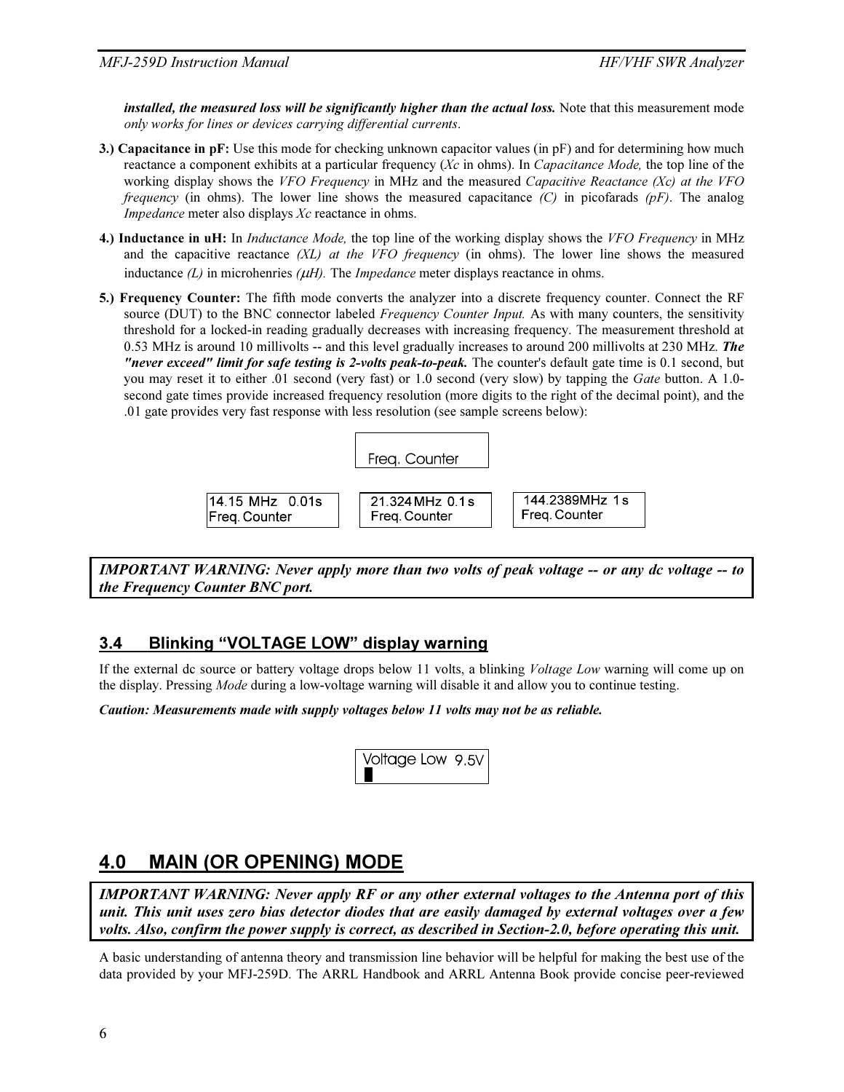*installed, the measured loss will be significantly higher than the actual loss.* Note that this measurement mode only works for lines or devices carrying differential currents.

- 3.) Capacitance in pF: Use this mode for checking unknown capacitor values (in  $pF$ ) and for determining how much reactance a component exhibits at a particular frequency (Xc in ohms). In Capacitance Mode, the top line of the working display shows the VFO Frequency in MHz and the measured Capacitive Reactance (Xc) at the VFO *frequency* (in ohms). The lower line shows the measured capacitance  $(C)$  in picofarads  $(pF)$ . The analog Impedance meter also displays Xc reactance in ohms.
- 4.) Inductance in uH: In *Inductance Mode*, the top line of the working display shows the VFO Frequency in MHz and the capacitive reactance  $(XL)$  at the VFO frequency (in ohms). The lower line shows the measured inductance  $(L)$  in microhenries ( $\mu$ H). The *Impedance* meter displays reactance in ohms.
- 5.) Frequency Counter: The fifth mode converts the analyzer into a discrete frequency counter. Connect the RF source (DUT) to the BNC connector labeled *Frequency Counter Input*. As with many counters, the sensitivity threshold for a locked-in reading gradually decreases with increasing frequency. The measurement threshold at 0.53 MHz is around 10 millivolts -- and this level gradually increases to around 200 millivolts at 230 MHz. *The "never exceed" limit for safe testing is 2-volts peak-to-peak.* The counter's default gate time is 0.1 second, but you may reset it to either .01 second (very fast) or 1.0 second (very slow) by tapping the Gate button. A 1.0second gate times provide increased frequency resolution (more digits to the right of the decimal point), and the .01 gate provides very fast response with less resolution (see sample screens below):



*IMPORTANT WARNING: Never apply more than two volts of peak voltage -- or any dc voltage -- to the Frequency Counter BNC port.* 

#### 3.4 Blinking "VOLTAGE LOW" display warning

If the external dc source or battery voltage drops below 11 volts, a blinking *Voltage Low* warning will come up on the display. Pressing Mode during a low-voltage warning will disable it and allow you to continue testing.

*Caution: Measurements made with supply voltages below 11 volts may not be as reliable.* 

| Voltage Low 9.5V |  |
|------------------|--|
|                  |  |

# 4.0 MAIN (OR OPENING) MODE

*IMPORTANT WARNING: Never apply RF or any other external voltages to the Antenna port of this unit. This unit uses zero bias detector diodes that are easily damaged by external voltages over a few volts. Also, confirm the power supply is correct, as described in Section-2.0, before operating this unit.* 

A basic understanding of antenna theory and transmission line behavior will be helpful for making the best use of the data provided by your MFJ-259D. The ARRL Handbook and ARRL Antenna Book provide concise peer-reviewed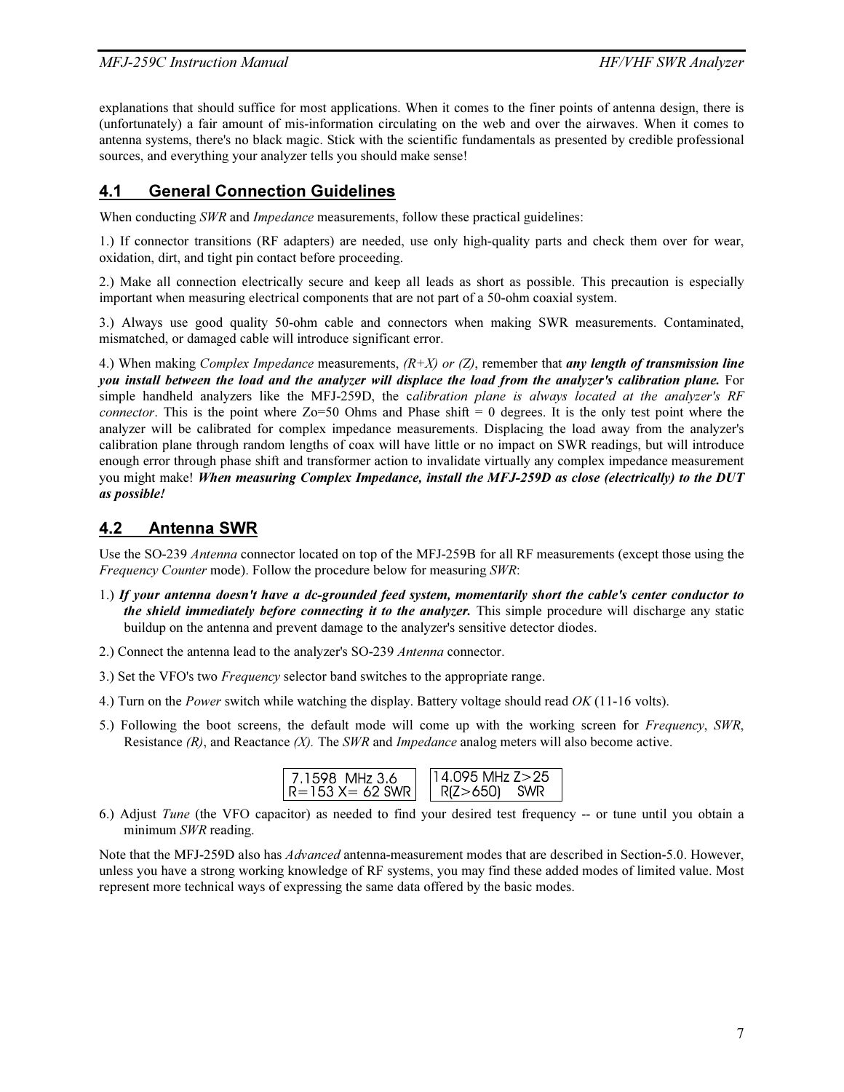#### MFJ-259C Instruction Manual development of the state of the HF/VHF SWR Analyzer

explanations that should suffice for most applications. When it comes to the finer points of antenna design, there is (unfortunately) a fair amount of mis-information circulating on the web and over the airwaves. When it comes to antenna systems, there's no black magic. Stick with the scientific fundamentals as presented by credible professional sources, and everything your analyzer tells you should make sense!

# 4.1 General Connection Guidelines

When conducting SWR and *Impedance* measurements, follow these practical guidelines:

1.) If connector transitions (RF adapters) are needed, use only high-quality parts and check them over for wear, oxidation, dirt, and tight pin contact before proceeding.

2.) Make all connection electrically secure and keep all leads as short as possible. This precaution is especially important when measuring electrical components that are not part of a 50-ohm coaxial system.

3.) Always use good quality 50-ohm cable and connectors when making SWR measurements. Contaminated, mismatched, or damaged cable will introduce significant error.

4.) When making Complex Impedance measurements, (R+X) or (Z), remember that *any length of transmission line you install between the load and the analyzer will displace the load from the analyzer's calibration plane.* For simple handheld analyzers like the MFJ-259D, the calibration plane is always located at the analyzer's RF *connector.* This is the point where  $Zo=50$  Ohms and Phase shift  $= 0$  degrees. It is the only test point where the analyzer will be calibrated for complex impedance measurements. Displacing the load away from the analyzer's calibration plane through random lengths of coax will have little or no impact on SWR readings, but will introduce enough error through phase shift and transformer action to invalidate virtually any complex impedance measurement you might make! *When measuring Complex Impedance, install the MFJ-259D as close (electrically) to the DUT as possible!* 

# 4.2 Antenna SWR

Use the SO-239 Antenna connector located on top of the MFJ-259B for all RF measurements (except those using the Frequency Counter mode). Follow the procedure below for measuring SWR:

- 1.) *If your antenna doesn't have a dc-grounded feed system, momentarily short the cable's center conductor to the shield immediately before connecting it to the analyzer.* This simple procedure will discharge any static buildup on the antenna and prevent damage to the analyzer's sensitive detector diodes.
- 2.) Connect the antenna lead to the analyzer's SO-239 Antenna connector.
- 3.) Set the VFO's two Frequency selector band switches to the appropriate range.
- 4.) Turn on the Power switch while watching the display. Battery voltage should read OK (11-16 volts).
- 5.) Following the boot screens, the default mode will come up with the working screen for Frequency, SWR, Resistance  $(R)$ , and Reactance  $(X)$ . The SWR and Impedance analog meters will also become active.

| 7.1598 MHz 3.6  | $114.095$ MHz $Z > 25$ |
|-----------------|------------------------|
| R=153 X= 62 SWR | R(Z>650) SWR           |
|                 |                        |

6.) Adjust Tune (the VFO capacitor) as needed to find your desired test frequency -- or tune until you obtain a minimum SWR reading.

Note that the MFJ-259D also has Advanced antenna-measurement modes that are described in Section-5.0. However, unless you have a strong working knowledge of RF systems, you may find these added modes of limited value. Most represent more technical ways of expressing the same data offered by the basic modes.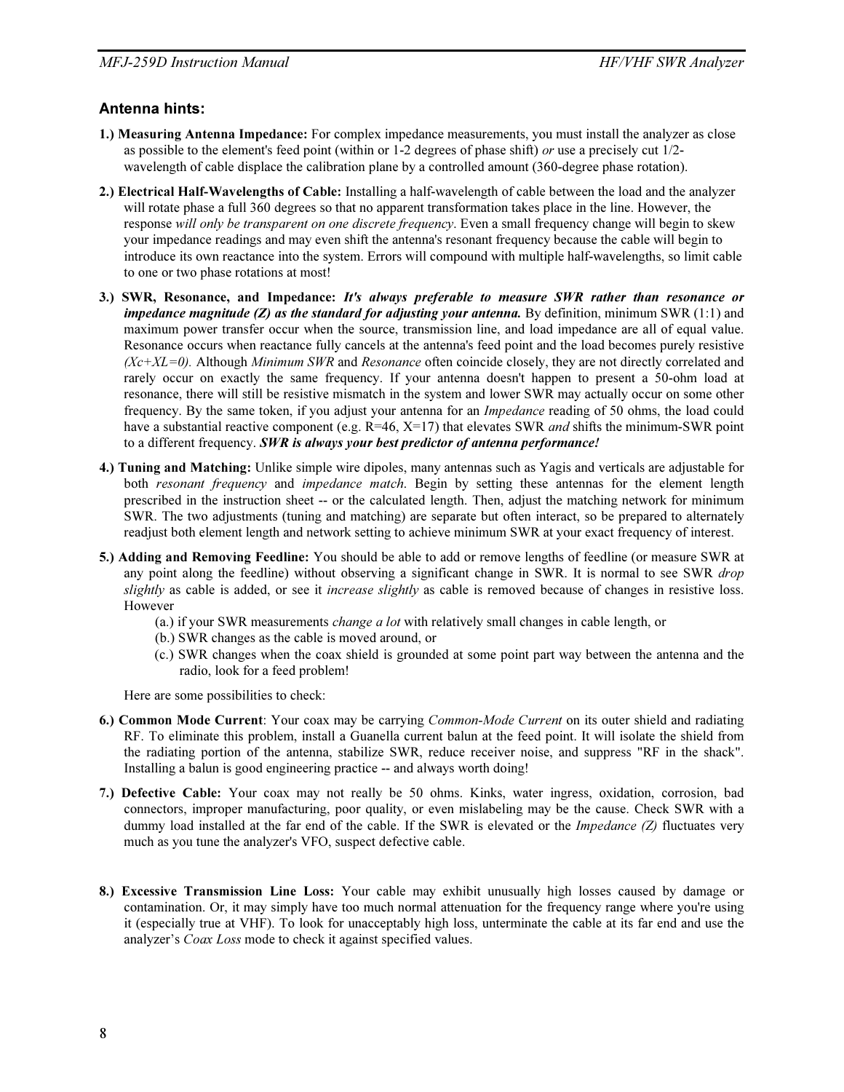#### Antenna hints:

- 1.) Measuring Antenna Impedance: For complex impedance measurements, you must install the analyzer as close as possible to the element's feed point (within or 1-2 degrees of phase shift) or use a precisely cut  $1/2$ wavelength of cable displace the calibration plane by a controlled amount (360-degree phase rotation).
- 2.) Electrical Half-Wavelengths of Cable: Installing a half-wavelength of cable between the load and the analyzer will rotate phase a full 360 degrees so that no apparent transformation takes place in the line. However, the response will only be transparent on one discrete frequency. Even a small frequency change will begin to skew your impedance readings and may even shift the antenna's resonant frequency because the cable will begin to introduce its own reactance into the system. Errors will compound with multiple half-wavelengths, so limit cable to one or two phase rotations at most!
- 3.) SWR, Resonance, and Impedance: *It's always preferable to measure SWR rather than resonance or impedance magnitude (Z) as the standard for adjusting your antenna.* By definition, minimum SWR (1:1) and maximum power transfer occur when the source, transmission line, and load impedance are all of equal value. Resonance occurs when reactance fully cancels at the antenna's feed point and the load becomes purely resistive  $(Xc+XL=0)$ . Although Minimum SWR and Resonance often coincide closely, they are not directly correlated and rarely occur on exactly the same frequency. If your antenna doesn't happen to present a 50-ohm load at resonance, there will still be resistive mismatch in the system and lower SWR may actually occur on some other frequency. By the same token, if you adjust your antenna for an *Impedance* reading of 50 ohms, the load could have a substantial reactive component (e.g.  $R=46$ ,  $X=17$ ) that elevates SWR *and* shifts the minimum-SWR point to a different frequency. *SWR is always your best predictor of antenna performance!*
- 4.) Tuning and Matching: Unlike simple wire dipoles, many antennas such as Yagis and verticals are adjustable for both *resonant frequency* and *impedance match*. Begin by setting these antennas for the element length prescribed in the instruction sheet -- or the calculated length. Then, adjust the matching network for minimum SWR. The two adjustments (tuning and matching) are separate but often interact, so be prepared to alternately readjust both element length and network setting to achieve minimum SWR at your exact frequency of interest.
- 5.) Adding and Removing Feedline: You should be able to add or remove lengths of feedline (or measure SWR at any point along the feedline) without observing a significant change in SWR. It is normal to see SWR *drop* slightly as cable is added, or see it *increase slightly* as cable is removed because of changes in resistive loss. However
	- (a.) if your SWR measurements change a lot with relatively small changes in cable length, or
	- (b.) SWR changes as the cable is moved around, or
	- (c.) SWR changes when the coax shield is grounded at some point part way between the antenna and the radio, look for a feed problem!

Here are some possibilities to check:

- 6.) Common Mode Current: Your coax may be carrying Common-Mode Current on its outer shield and radiating RF. To eliminate this problem, install a Guanella current balun at the feed point. It will isolate the shield from the radiating portion of the antenna, stabilize SWR, reduce receiver noise, and suppress "RF in the shack". Installing a balun is good engineering practice -- and always worth doing!
- 7.) Defective Cable: Your coax may not really be 50 ohms. Kinks, water ingress, oxidation, corrosion, bad connectors, improper manufacturing, poor quality, or even mislabeling may be the cause. Check SWR with a dummy load installed at the far end of the cable. If the SWR is elevated or the *Impedance*  $(Z)$  fluctuates very much as you tune the analyzer's VFO, suspect defective cable.
- 8.) Excessive Transmission Line Loss: Your cable may exhibit unusually high losses caused by damage or contamination. Or, it may simply have too much normal attenuation for the frequency range where you're using it (especially true at VHF). To look for unacceptably high loss, unterminate the cable at its far end and use the analyzer's Coax Loss mode to check it against specified values.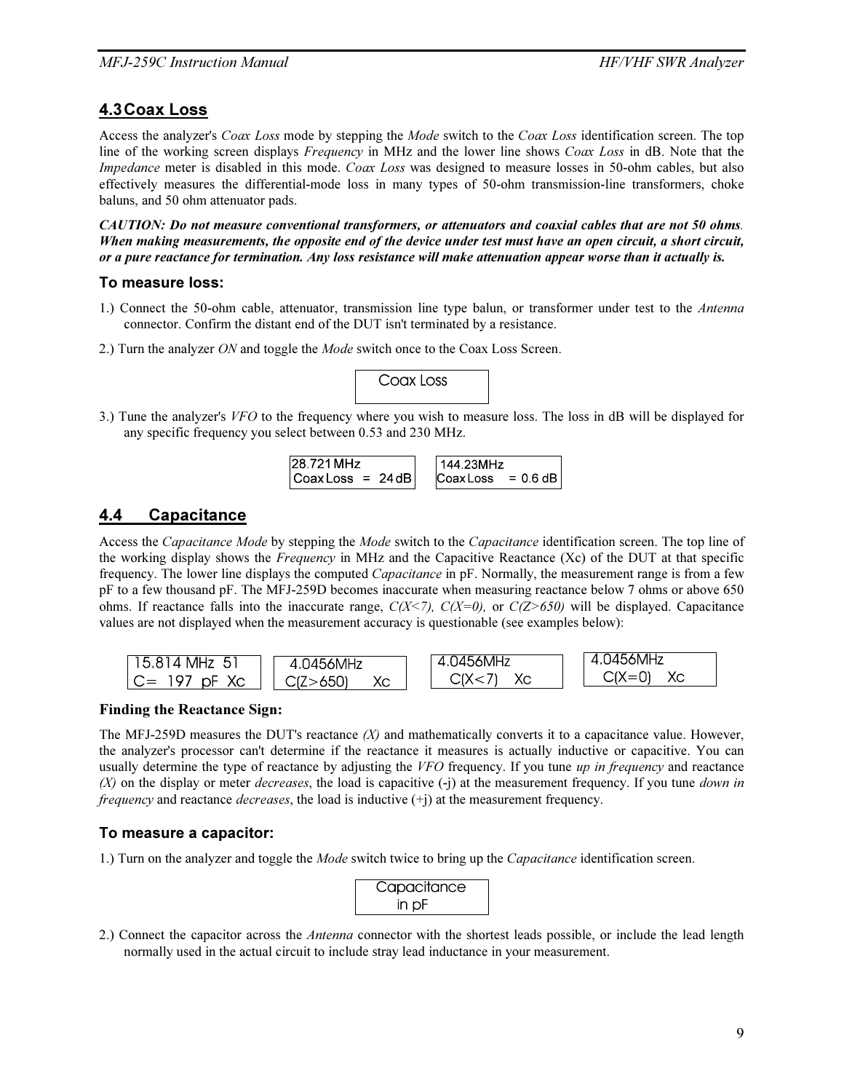### 4.3 Coax Loss

Access the analyzer's Coax Loss mode by stepping the Mode switch to the Coax Loss identification screen. The top line of the working screen displays Frequency in MHz and the lower line shows Coax Loss in dB. Note that the Impedance meter is disabled in this mode. Coax Loss was designed to measure losses in 50-ohm cables, but also effectively measures the differential-mode loss in many types of 50-ohm transmission-line transformers, choke baluns, and 50 ohm attenuator pads.

*CAUTION: Do not measure conventional transformers, or attenuators and coaxial cables that are not 50 ohms*. *When making measurements, the opposite end of the device under test must have an open circuit, a short circuit, or a pure reactance for termination. Any loss resistance will make attenuation appear worse than it actually is.* 

#### To measure loss:

- 1.) Connect the 50-ohm cable, attenuator, transmission line type balun, or transformer under test to the Antenna connector. Confirm the distant end of the DUT isn't terminated by a resistance.
- 2.) Turn the analyzer ON and toggle the Mode switch once to the Coax Loss Screen.



3.) Tune the analyzer's VFO to the frequency where you wish to measure loss. The loss in dB will be displayed for any specific frequency you select between 0.53 and 230 MHz.

$$
28.721 MHz\nCoaxLoss = 24 dB
$$
\n
$$
144.23 MHz\nCoaxLoss = 0.6 dB
$$

### 4.4 Capacitance

Access the Capacitance Mode by stepping the Mode switch to the Capacitance identification screen. The top line of the working display shows the Frequency in MHz and the Capacitive Reactance (Xc) of the DUT at that specific frequency. The lower line displays the computed *Capacitance* in pF. Normally, the measurement range is from a few pF to a few thousand pF. The MFJ-259D becomes inaccurate when measuring reactance below 7 ohms or above 650 ohms. If reactance falls into the inaccurate range,  $C(X\le 7)$ ,  $C(X=0)$ , or  $C(Z>650)$  will be displayed. Capacitance values are not displayed when the measurement accuracy is questionable (see examples below):



#### Finding the Reactance Sign:

The MFJ-259D measures the DUT's reactance  $(X)$  and mathematically converts it to a capacitance value. However, the analyzer's processor can't determine if the reactance it measures is actually inductive or capacitive. You can usually determine the type of reactance by adjusting the  $VFO$  frequency. If you tune up in frequency and reactance  $(X)$  on the display or meter *decreases*, the load is capacitive  $(-i)$  at the measurement frequency. If you tune *down in frequency* and reactance *decreases*, the load is inductive  $(+)$  at the measurement frequency.

#### To measure a capacitor:

1.) Turn on the analyzer and toggle the Mode switch twice to bring up the Capacitance identification screen.



2.) Connect the capacitor across the *Antenna* connector with the shortest leads possible, or include the lead length normally used in the actual circuit to include stray lead inductance in your measurement.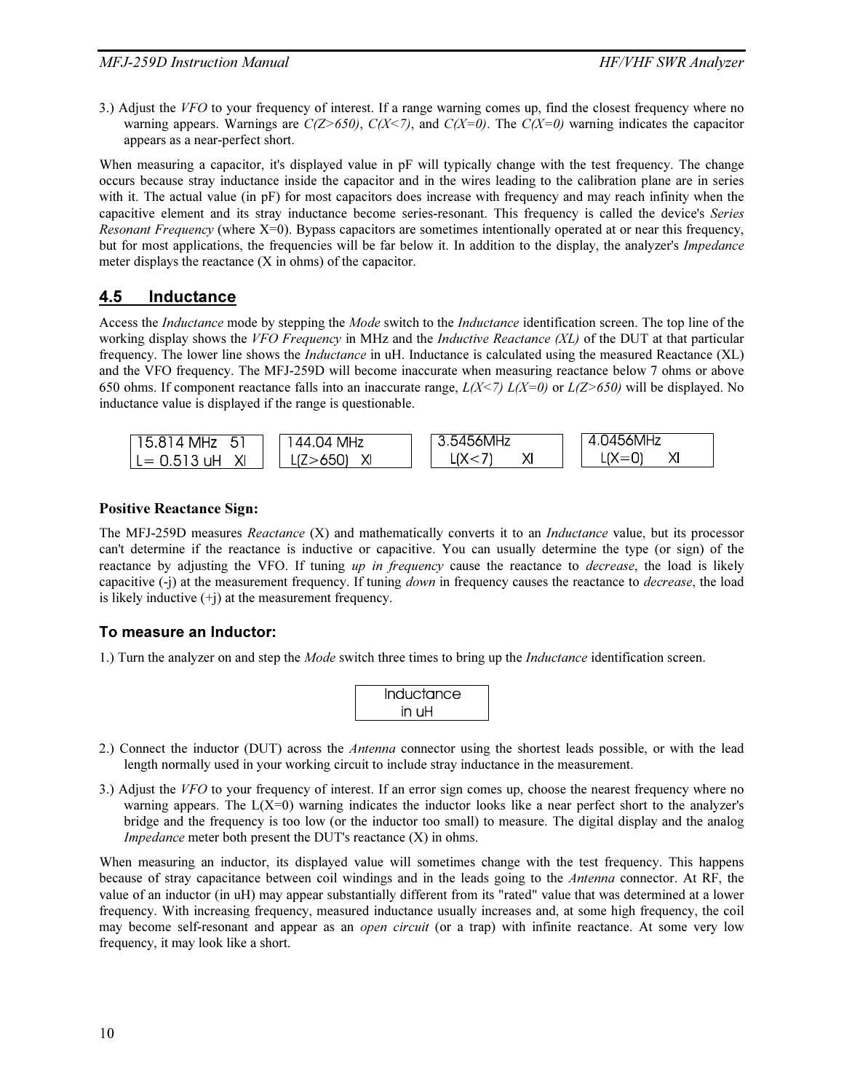3.) Adjust the VFO to your frequency of interest. If a range warning comes up, find the closest frequency where no warning appears. Warnings are  $C(Z>650)$ ,  $C(X<7)$ , and  $C(X=0)$ . The  $C(X=0)$  warning indicates the capacitor appears as a near-perfect short.

When measuring a capacitor, it's displayed value in pF will typically change with the test frequency. The change occurs because stray inductance inside the capacitor and in the wires leading to the calibration plane are in series with it. The actual value (in pF) for most capacitors does increase with frequency and may reach infinity when the capacitive element and its stray inductance become series-resonant. This frequency is called the device's Series *Resonant Frequency* (where  $X=0$ ). Bypass capacitors are sometimes intentionally operated at or near this frequency, but for most applications, the frequencies will be far below it. In addition to the display, the analyzer's *Impedance* meter displays the reactance (X in ohms) of the capacitor.

#### 4.5 Inductance

Access the *Inductance* mode by stepping the *Mode* switch to the *Inductance* identification screen. The top line of the working display shows the VFO Frequency in MHz and the *Inductive Reactance (XL)* of the DUT at that particular frequency. The lower line shows the *Inductance* in uH. Inductance is calculated using the measured Reactance (XL) and the VFO frequency. The MFJ-259D will become inaccurate when measuring reactance below 7 ohms or above 650 ohms. If component reactance falls into an inaccurate range,  $L(X\le 7) L(X=0)$  or  $L(Z>650)$  will be displayed. No inductance value is displayed if the range is questionable.



#### Positive Reactance Sign:

The MFJ-259D measures *Reactance* (X) and mathematically converts it to an *Inductance* value, but its processor can't determine if the reactance is inductive or capacitive. You can usually determine the type (or sign) of the reactance by adjusting the VFO. If tuning up in frequency cause the reactance to decrease, the load is likely capacitive (-j) at the measurement frequency. If tuning *down* in frequency causes the reactance to *decrease*, the load is likely inductive  $(+i)$  at the measurement frequency.

#### To measure an Inductor:

1.) Turn the analyzer on and step the *Mode* switch three times to bring up the *Inductance* identification screen.

| Inductance |  |
|------------|--|
| in uH      |  |

- 2.) Connect the inductor (DUT) across the *Antenna* connector using the shortest leads possible, or with the lead length normally used in your working circuit to include stray inductance in the measurement.
- 3.) Adjust the VFO to your frequency of interest. If an error sign comes up, choose the nearest frequency where no warning appears. The  $L(X=0)$  warning indicates the inductor looks like a near perfect short to the analyzer's bridge and the frequency is too low (or the inductor too small) to measure. The digital display and the analog Impedance meter both present the DUT's reactance (X) in ohms.

When measuring an inductor, its displayed value will sometimes change with the test frequency. This happens because of stray capacitance between coil windings and in the leads going to the Antenna connector. At RF, the value of an inductor (in uH) may appear substantially different from its "rated" value that was determined at a lower frequency. With increasing frequency, measured inductance usually increases and, at some high frequency, the coil may become self-resonant and appear as an *open circuit* (or a trap) with infinite reactance. At some very low frequency, it may look like a short.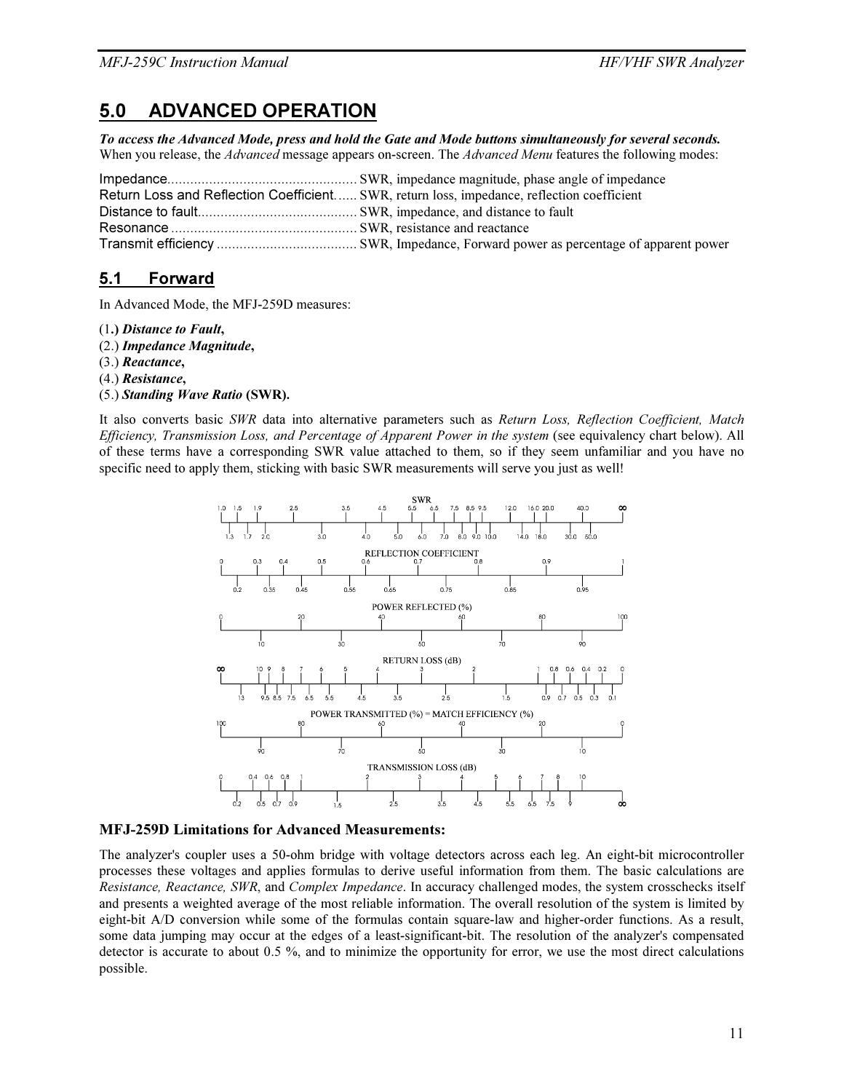# 5.0 ADVANCED OPERATION

*To access the Advanced Mode, press and hold the Gate and Mode buttons simultaneously for several seconds.*  When you release, the Advanced message appears on-screen. The Advanced Menu features the following modes:

| Return Loss and Reflection Coefficient SWR, return loss, impedance, reflection coefficient |
|--------------------------------------------------------------------------------------------|
|                                                                                            |
|                                                                                            |
|                                                                                            |

# 5.1 Forward

In Advanced Mode, the MFJ-259D measures:

- (1.) *Distance to Fault*,
- (2.) *Impedance Magnitude*,
- (3.) *Reactance*,
- (4.) *Resistance*,
- (5.) *Standing Wave Ratio* (SWR).

It also converts basic SWR data into alternative parameters such as Return Loss, Reflection Coefficient, Match Efficiency, Transmission Loss, and Percentage of Apparent Power in the system (see equivalency chart below). All of these terms have a corresponding SWR value attached to them, so if they seem unfamiliar and you have no specific need to apply them, sticking with basic SWR measurements will serve you just as well!



#### MFJ-259D Limitations for Advanced Measurements:

The analyzer's coupler uses a 50-ohm bridge with voltage detectors across each leg. An eight-bit microcontroller processes these voltages and applies formulas to derive useful information from them. The basic calculations are Resistance, Reactance, SWR, and Complex Impedance. In accuracy challenged modes, the system crosschecks itself and presents a weighted average of the most reliable information. The overall resolution of the system is limited by eight-bit A/D conversion while some of the formulas contain square-law and higher-order functions. As a result, some data jumping may occur at the edges of a least-significant-bit. The resolution of the analyzer's compensated detector is accurate to about 0.5 %, and to minimize the opportunity for error, we use the most direct calculations possible.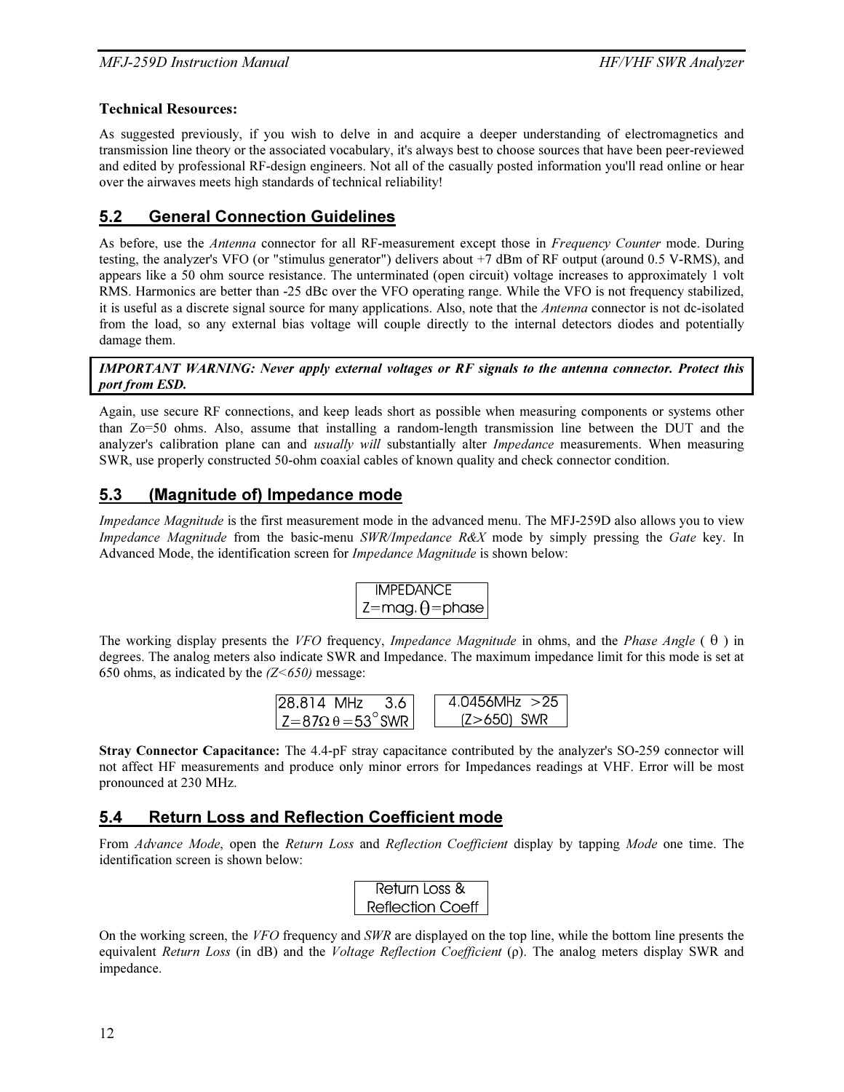#### Technical Resources:

As suggested previously, if you wish to delve in and acquire a deeper understanding of electromagnetics and transmission line theory or the associated vocabulary, it's always best to choose sources that have been peer-reviewed and edited by professional RF-design engineers. Not all of the casually posted information you'll read online or hear over the airwaves meets high standards of technical reliability!

# 5.2 General Connection Guidelines

As before, use the *Antenna* connector for all RF-measurement except those in Frequency Counter mode. During testing, the analyzer's VFO (or "stimulus generator") delivers about +7 dBm of RF output (around 0.5 V-RMS), and appears like a 50 ohm source resistance. The unterminated (open circuit) voltage increases to approximately 1 volt RMS. Harmonics are better than -25 dBc over the VFO operating range. While the VFO is not frequency stabilized, it is useful as a discrete signal source for many applications. Also, note that the *Antenna* connector is not dc-isolated from the load, so any external bias voltage will couple directly to the internal detectors diodes and potentially damage them.

*IMPORTANT WARNING: Never apply external voltages or RF signals to the antenna connector. Protect this port from ESD.* 

Again, use secure RF connections, and keep leads short as possible when measuring components or systems other than Zo=50 ohms. Also, assume that installing a random-length transmission line between the DUT and the analyzer's calibration plane can and *usually will* substantially alter *Impedance* measurements. When measuring SWR, use properly constructed 50-ohm coaxial cables of known quality and check connector condition.

# 5.3 (Magnitude of) Impedance mode

Impedance Magnitude is the first measurement mode in the advanced menu. The MFJ-259D also allows you to view Impedance Magnitude from the basic-menu SWR/Impedance R&X mode by simply pressing the Gate key. In Advanced Mode, the identification screen for Impedance Magnitude is shown below:

$$
\begin{array}{c}\n\text{IMPEDANCE} \\
Z = mag. \theta = phase\n\end{array}
$$

The working display presents the VFO frequency, Impedance Magnitude in ohms, and the Phase Angle  $(\theta)$  in degrees. The analog meters also indicate SWR and Impedance. The maximum impedance limit for this mode is set at 650 ohms, as indicated by the  $(Z<650)$  message:

| 128.814 MHz<br>-36                    | $4.0456$ MHz $>25$ |
|---------------------------------------|--------------------|
| $ Z=87\Omega \theta = 53^{\circ}$ SWR | $(Z>650)$ SWR      |

Stray Connector Capacitance: The 4.4-pF stray capacitance contributed by the analyzer's SO-259 connector will not affect HF measurements and produce only minor errors for Impedances readings at VHF. Error will be most pronounced at 230 MHz.

# 5.4 Return Loss and Reflection Coefficient mode

From Advance Mode, open the Return Loss and Reflection Coefficient display by tapping Mode one time. The identification screen is shown below:

On the working screen, the VFO frequency and SWR are displayed on the top line, while the bottom line presents the equivalent Return Loss (in dB) and the Voltage Reflection Coefficient (ρ). The analog meters display SWR and impedance.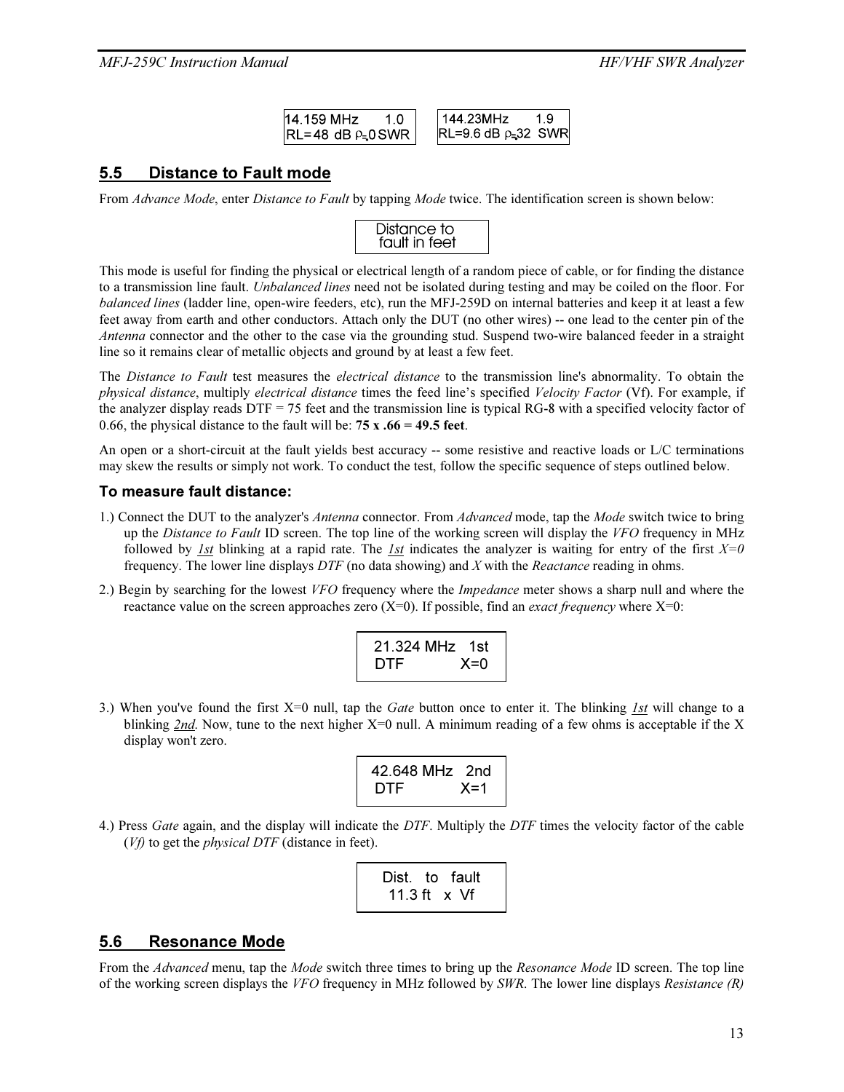| 14.159 MHz | 144 23MHz                  |
|------------|----------------------------|
|            | $ RL=9.6$ dB $\rho=32$ SWR |

#### 5.5 Distance to Fault mode

From Advance Mode, enter Distance to Fault by tapping Mode twice. The identification screen is shown below:

| Distance to<br>fault in feet |  |
|------------------------------|--|
|                              |  |

This mode is useful for finding the physical or electrical length of a random piece of cable, or for finding the distance to a transmission line fault. *Unbalanced lines* need not be isolated during testing and may be coiled on the floor. For balanced lines (ladder line, open-wire feeders, etc), run the MFJ-259D on internal batteries and keep it at least a few feet away from earth and other conductors. Attach only the DUT (no other wires) -- one lead to the center pin of the Antenna connector and the other to the case via the grounding stud. Suspend two-wire balanced feeder in a straight line so it remains clear of metallic objects and ground by at least a few feet.

The Distance to Fault test measures the electrical distance to the transmission line's abnormality. To obtain the physical distance, multiply electrical distance times the feed line's specified Velocity Factor (Vf). For example, if the analyzer display reads DTF = 75 feet and the transmission line is typical RG-8 with a specified velocity factor of 0.66, the physical distance to the fault will be:  $75 x .66 = 49.5$  feet.

An open or a short-circuit at the fault yields best accuracy -- some resistive and reactive loads or L/C terminations may skew the results or simply not work. To conduct the test, follow the specific sequence of steps outlined below.

#### To measure fault distance:

- 1.) Connect the DUT to the analyzer's *Antenna* connector. From *Advanced* mode, tap the *Mode* switch twice to bring up the Distance to Fault ID screen. The top line of the working screen will display the VFO frequency in MHz followed by 1st blinking at a rapid rate. The 1st indicates the analyzer is waiting for entry of the first  $X=0$ frequency. The lower line displays  $DTF$  (no data showing) and X with the Reactance reading in ohms.
- 2.) Begin by searching for the lowest VFO frequency where the *Impedance* meter shows a sharp null and where the reactance value on the screen approaches zero  $(X=0)$ . If possible, find an *exact frequency* where  $X=0$ :

| 21.324 MHz 1st |  |
|----------------|--|
| $X=0$<br>DTF   |  |

3.) When you've found the first  $X=0$  null, tap the *Gate* button once to enter it. The blinking *1st* will change to a blinking 2nd. Now, tune to the next higher  $X=0$  null. A minimum reading of a few ohms is acceptable if the X display won't zero.

| 42.648 MHz 2nd |         |
|----------------|---------|
| DTF            | $X = 1$ |

4.) Press Gate again, and the display will indicate the DTF. Multiply the DTF times the velocity factor of the cable  $(Vf)$  to get the *physical DTF* (distance in feet).

|  | Dist. to fault |
|--|----------------|
|  | 11.3 ft x Vf   |

#### 5.6 Resonance Mode

From the Advanced menu, tap the Mode switch three times to bring up the Resonance Mode ID screen. The top line of the working screen displays the VFO frequency in MHz followed by SWR. The lower line displays Resistance  $(R)$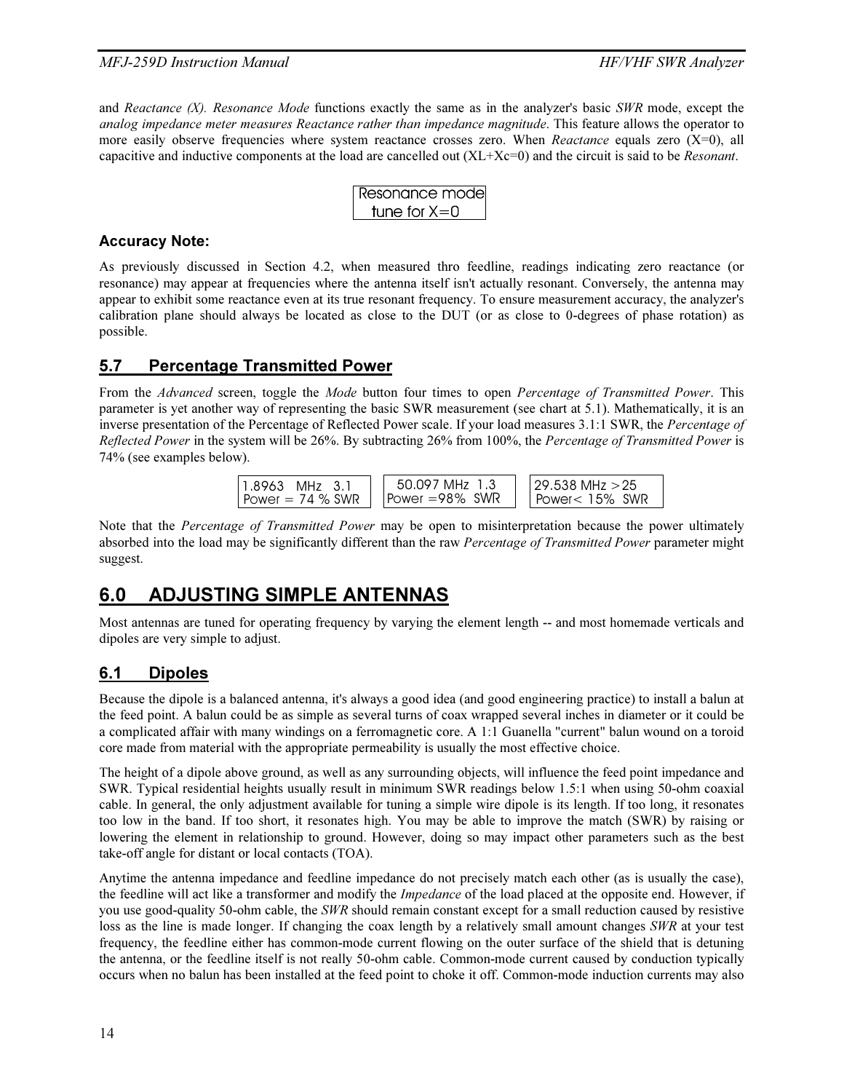and Reactance  $(X)$ . Resonance Mode functions exactly the same as in the analyzer's basic SWR mode, except the analog impedance meter measures Reactance rather than impedance magnitude. This feature allows the operator to more easily observe frequencies where system reactance crosses zero. When Reactance equals zero  $(X=0)$ , all capacitive and inductive components at the load are cancelled out  $(XL+Xc=0)$  and the circuit is said to be *Resonant*.

| Resonance mode |
|----------------|
| tune for $X=0$ |

#### Accuracy Note:

As previously discussed in Section 4.2, when measured thro feedline, readings indicating zero reactance (or resonance) may appear at frequencies where the antenna itself isn't actually resonant. Conversely, the antenna may appear to exhibit some reactance even at its true resonant frequency. To ensure measurement accuracy, the analyzer's calibration plane should always be located as close to the DUT (or as close to 0-degrees of phase rotation) as possible.

# 5.7 Percentage Transmitted Power

From the Advanced screen, toggle the Mode button four times to open Percentage of Transmitted Power. This parameter is yet another way of representing the basic SWR measurement (see chart at 5.1). Mathematically, it is an inverse presentation of the Percentage of Reflected Power scale. If your load measures 3.1:1 SWR, the Percentage of Reflected Power in the system will be 26%. By subtracting 26% from 100%, the Percentage of Transmitted Power is 74% (see examples below).



Note that the *Percentage of Transmitted Power* may be open to misinterpretation because the power ultimately absorbed into the load may be significantly different than the raw Percentage of Transmitted Power parameter might suggest.

# 6.0 ADJUSTING SIMPLE ANTENNAS

Most antennas are tuned for operating frequency by varying the element length -- and most homemade verticals and dipoles are very simple to adjust.

# 6.1 Dipoles

Because the dipole is a balanced antenna, it's always a good idea (and good engineering practice) to install a balun at the feed point. A balun could be as simple as several turns of coax wrapped several inches in diameter or it could be a complicated affair with many windings on a ferromagnetic core. A 1:1 Guanella "current" balun wound on a toroid core made from material with the appropriate permeability is usually the most effective choice.

The height of a dipole above ground, as well as any surrounding objects, will influence the feed point impedance and SWR. Typical residential heights usually result in minimum SWR readings below 1.5:1 when using 50-ohm coaxial cable. In general, the only adjustment available for tuning a simple wire dipole is its length. If too long, it resonates too low in the band. If too short, it resonates high. You may be able to improve the match (SWR) by raising or lowering the element in relationship to ground. However, doing so may impact other parameters such as the best take-off angle for distant or local contacts (TOA).

Anytime the antenna impedance and feedline impedance do not precisely match each other (as is usually the case), the feedline will act like a transformer and modify the *Impedance* of the load placed at the opposite end. However, if you use good-quality 50-ohm cable, the SWR should remain constant except for a small reduction caused by resistive loss as the line is made longer. If changing the coax length by a relatively small amount changes SWR at your test frequency, the feedline either has common-mode current flowing on the outer surface of the shield that is detuning the antenna, or the feedline itself is not really 50-ohm cable. Common-mode current caused by conduction typically occurs when no balun has been installed at the feed point to choke it off. Common-mode induction currents may also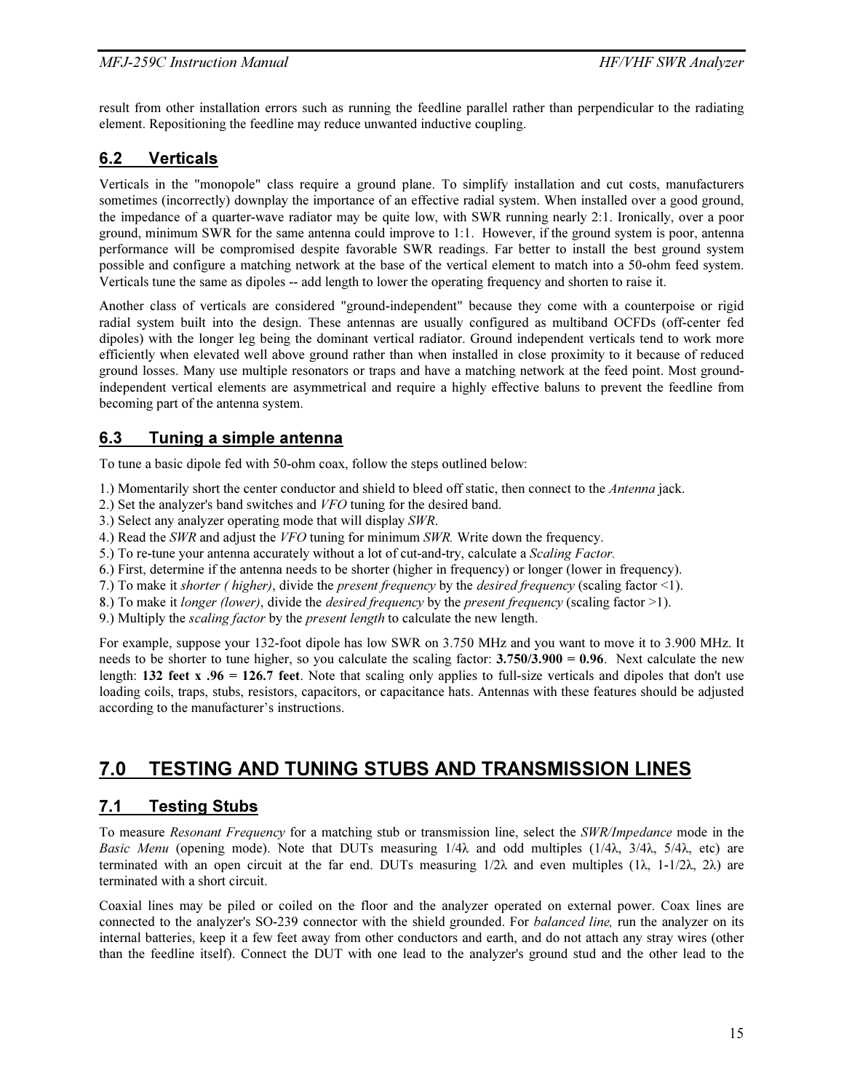result from other installation errors such as running the feedline parallel rather than perpendicular to the radiating element. Repositioning the feedline may reduce unwanted inductive coupling.

# 6.2 Verticals

Verticals in the "monopole" class require a ground plane. To simplify installation and cut costs, manufacturers sometimes (incorrectly) downplay the importance of an effective radial system. When installed over a good ground, the impedance of a quarter-wave radiator may be quite low, with SWR running nearly 2:1. Ironically, over a poor ground, minimum SWR for the same antenna could improve to 1:1. However, if the ground system is poor, antenna performance will be compromised despite favorable SWR readings. Far better to install the best ground system possible and configure a matching network at the base of the vertical element to match into a 50-ohm feed system. Verticals tune the same as dipoles -- add length to lower the operating frequency and shorten to raise it.

Another class of verticals are considered "ground-independent" because they come with a counterpoise or rigid radial system built into the design. These antennas are usually configured as multiband OCFDs (off-center fed dipoles) with the longer leg being the dominant vertical radiator. Ground independent verticals tend to work more efficiently when elevated well above ground rather than when installed in close proximity to it because of reduced ground losses. Many use multiple resonators or traps and have a matching network at the feed point. Most groundindependent vertical elements are asymmetrical and require a highly effective baluns to prevent the feedline from becoming part of the antenna system.

# 6.3 Tuning a simple antenna

To tune a basic dipole fed with 50-ohm coax, follow the steps outlined below:

- 1.) Momentarily short the center conductor and shield to bleed off static, then connect to the Antenna jack.
- 2.) Set the analyzer's band switches and VFO tuning for the desired band.
- 3.) Select any analyzer operating mode that will display SWR.
- 4.) Read the SWR and adjust the VFO tuning for minimum SWR. Write down the frequency.
- 5.) To re-tune your antenna accurately without a lot of cut-and-try, calculate a Scaling Factor.
- 6.) First, determine if the antenna needs to be shorter (higher in frequency) or longer (lower in frequency).
- 7.) To make it shorter ( higher), divide the present frequency by the desired frequency (scaling factor  $\leq$  1).
- 8.) To make it longer (lower), divide the desired frequency by the present frequency (scaling factor  $>1$ ).
- 9.) Multiply the scaling factor by the present length to calculate the new length.

For example, suppose your 132-foot dipole has low SWR on 3.750 MHz and you want to move it to 3.900 MHz. It needs to be shorter to tune higher, so you calculate the scaling factor:  $3.750/3.900 = 0.96$ . Next calculate the new length:  $132$  feet x .96 = 126.7 feet. Note that scaling only applies to full-size verticals and dipoles that don't use loading coils, traps, stubs, resistors, capacitors, or capacitance hats. Antennas with these features should be adjusted according to the manufacturer's instructions.

# 7.0 TESTING AND TUNING STUBS AND TRANSMISSION LINES

# 7.1 Testing Stubs

To measure Resonant Frequency for a matching stub or transmission line, select the SWR/Impedance mode in the Basic Menu (opening mode). Note that DUTs measuring  $1/4\lambda$  and odd multiples  $(1/4\lambda, 3/4\lambda, 5/4\lambda, \text{ etc})$  are terminated with an open circuit at the far end. DUTs measuring  $1/2\lambda$  and even multiples  $(1\lambda, 1-1/2\lambda, 2\lambda)$  are terminated with a short circuit.

Coaxial lines may be piled or coiled on the floor and the analyzer operated on external power. Coax lines are connected to the analyzer's SO-239 connector with the shield grounded. For *balanced line*, run the analyzer on its internal batteries, keep it a few feet away from other conductors and earth, and do not attach any stray wires (other than the feedline itself). Connect the DUT with one lead to the analyzer's ground stud and the other lead to the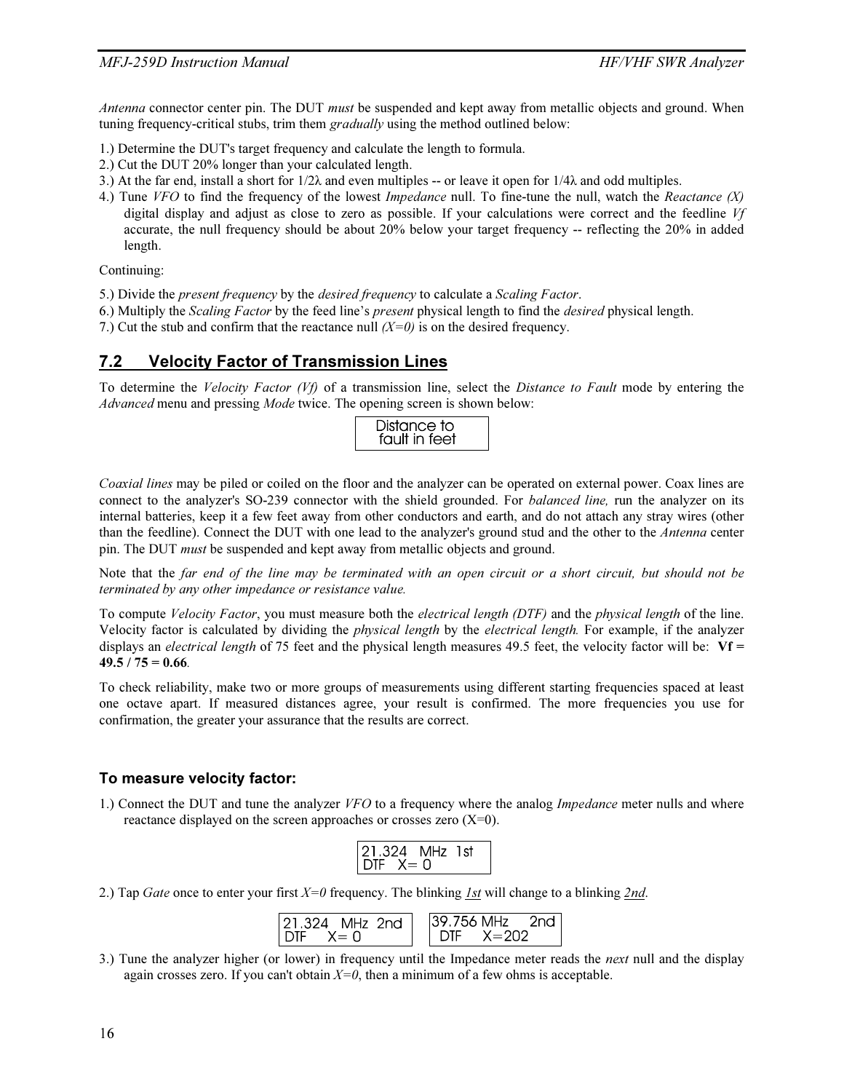Antenna connector center pin. The DUT must be suspended and kept away from metallic objects and ground. When tuning frequency-critical stubs, trim them *gradually* using the method outlined below:

- 1.) Determine the DUT's target frequency and calculate the length to formula.
- 2.) Cut the DUT 20% longer than your calculated length.
- 3.) At the far end, install a short for  $1/2\lambda$  and even multiples -- or leave it open for  $1/4\lambda$  and odd multiples.
- 4.) Tune VFO to find the frequency of the lowest *Impedance* null. To fine-tune the null, watch the Reactance  $(X)$ digital display and adjust as close to zero as possible. If your calculations were correct and the feedline Vf accurate, the null frequency should be about 20% below your target frequency -- reflecting the 20% in added length.

Continuing:

- 5.) Divide the present frequency by the desired frequency to calculate a Scaling Factor.
- 6.) Multiply the Scaling Factor by the feed line's present physical length to find the desired physical length.
- 7.) Cut the stub and confirm that the reactance null  $(X=0)$  is on the desired frequency.

#### 7.2 Velocity Factor of Transmission Lines

To determine the Velocity Factor  $(Vf)$  of a transmission line, select the Distance to Fault mode by entering the Advanced menu and pressing Mode twice. The opening screen is shown below:

|--|

Coaxial lines may be piled or coiled on the floor and the analyzer can be operated on external power. Coax lines are connect to the analyzer's SO-239 connector with the shield grounded. For *balanced line*, run the analyzer on its internal batteries, keep it a few feet away from other conductors and earth, and do not attach any stray wires (other than the feedline). Connect the DUT with one lead to the analyzer's ground stud and the other to the Antenna center pin. The DUT must be suspended and kept away from metallic objects and ground.

Note that the far end of the line may be terminated with an open circuit or a short circuit, but should not be terminated by any other impedance or resistance value.

To compute Velocity Factor, you must measure both the electrical length (DTF) and the physical length of the line. Velocity factor is calculated by dividing the physical length by the electrical length. For example, if the analyzer displays an *electrical length* of 75 feet and the physical length measures 49.5 feet, the velocity factor will be:  $Vf =$  $49.5 / 75 = 0.66$ .

To check reliability, make two or more groups of measurements using different starting frequencies spaced at least one octave apart. If measured distances agree, your result is confirmed. The more frequencies you use for confirmation, the greater your assurance that the results are correct.

#### To measure velocity factor:

1.) Connect the DUT and tune the analyzer VFO to a frequency where the analog *Impedance* meter nulls and where reactance displayed on the screen approaches or crosses zero (X=0).

| 21.324     | IHZ - |  |
|------------|-------|--|
| ⊣ו∩<br>. _ | ш     |  |

2.) Tap Gate once to enter your first  $X=0$  frequency. The blinking 1st will change to a blinking 2nd.

| 121.324 MHz 2nd    | $ 39.756 \text{ MHz} - 2 \text{nd} $ |
|--------------------|--------------------------------------|
| $IDIF \quad X = 0$ | $DIF = X = 202$                      |

3.) Tune the analyzer higher (or lower) in frequency until the Impedance meter reads the *next* null and the display again crosses zero. If you can't obtain  $X=0$ , then a minimum of a few ohms is acceptable.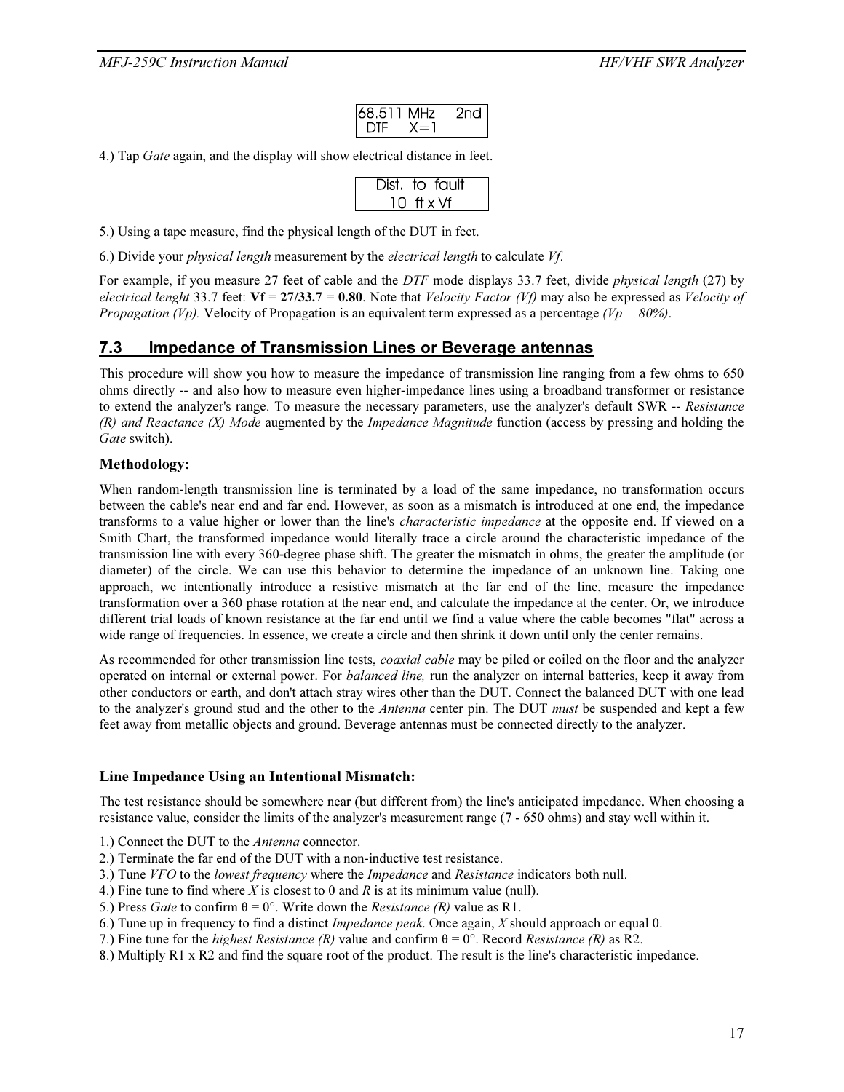| 68.511 MHz      |         | 2nd |
|-----------------|---------|-----|
| $\parallel$ DTF | $X = I$ |     |

4.) Tap Gate again, and the display will show electrical distance in feet.

|  | Dist. to fault |  |
|--|----------------|--|
|  | 10 ft x Vf     |  |

5.) Using a tape measure, find the physical length of the DUT in feet.

6.) Divide your physical length measurement by the electrical length to calculate Vf.

For example, if you measure 27 feet of cable and the DTF mode displays 33.7 feet, divide *physical length* (27) by electrical lenght 33.7 feet:  $Vf = 27/33.7 = 0.80$ . Note that *Velocity Factor* (*Vf*) may also be expressed as *Velocity of Propagation (Vp).* Velocity of Propagation is an equivalent term expressed as a percentage (Vp =  $80\%$ ).

#### 7.3 Impedance of Transmission Lines or Beverage antennas

This procedure will show you how to measure the impedance of transmission line ranging from a few ohms to 650 ohms directly -- and also how to measure even higher-impedance lines using a broadband transformer or resistance to extend the analyzer's range. To measure the necessary parameters, use the analyzer's default SWR -- Resistance  $(R)$  and Reactance  $(X)$  Mode augmented by the *Impedance Magnitude* function (access by pressing and holding the Gate switch).

#### Methodology:

When random-length transmission line is terminated by a load of the same impedance, no transformation occurs between the cable's near end and far end. However, as soon as a mismatch is introduced at one end, the impedance transforms to a value higher or lower than the line's *characteristic impedance* at the opposite end. If viewed on a Smith Chart, the transformed impedance would literally trace a circle around the characteristic impedance of the transmission line with every 360-degree phase shift. The greater the mismatch in ohms, the greater the amplitude (or diameter) of the circle. We can use this behavior to determine the impedance of an unknown line. Taking one approach, we intentionally introduce a resistive mismatch at the far end of the line, measure the impedance transformation over a 360 phase rotation at the near end, and calculate the impedance at the center. Or, we introduce different trial loads of known resistance at the far end until we find a value where the cable becomes "flat" across a wide range of frequencies. In essence, we create a circle and then shrink it down until only the center remains.

As recommended for other transmission line tests, *coaxial cable* may be piled or coiled on the floor and the analyzer operated on internal or external power. For balanced line, run the analyzer on internal batteries, keep it away from other conductors or earth, and don't attach stray wires other than the DUT. Connect the balanced DUT with one lead to the analyzer's ground stud and the other to the *Antenna* center pin. The DUT *must* be suspended and kept a few feet away from metallic objects and ground. Beverage antennas must be connected directly to the analyzer.

#### Line Impedance Using an Intentional Mismatch:

The test resistance should be somewhere near (but different from) the line's anticipated impedance. When choosing a resistance value, consider the limits of the analyzer's measurement range (7 - 650 ohms) and stay well within it.

1.) Connect the DUT to the Antenna connector.

- 2.) Terminate the far end of the DUT with a non-inductive test resistance.
- 3.) Tune VFO to the lowest frequency where the Impedance and Resistance indicators both null.
- 4.) Fine tune to find where X is closest to 0 and R is at its minimum value (null).
- 5.) Press *Gate* to confirm  $\theta = 0^{\circ}$ . Write down the *Resistance* (*R*) value as R1.
- 6.) Tune up in frequency to find a distinct *Impedance peak*. Once again,  $X$  should approach or equal 0.
- 7.) Fine tune for the *highest Resistance* (R) value and confirm  $\theta = 0^{\circ}$ . Record *Resistance* (R) as R2.
- 8.) Multiply R1 x R2 and find the square root of the product. The result is the line's characteristic impedance.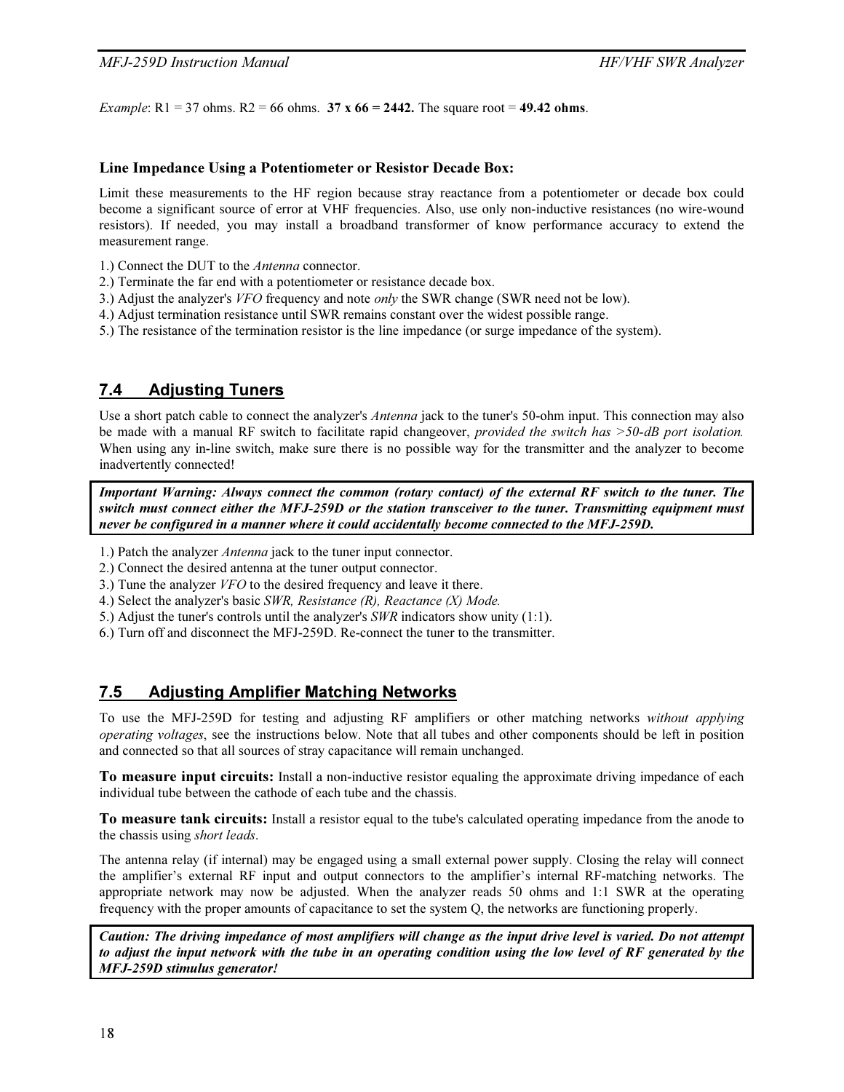*Example*:  $R1 = 37$  ohms.  $R2 = 66$  ohms.  $37 \times 66 = 2442$ . The square root = 49.42 ohms.

#### Line Impedance Using a Potentiometer or Resistor Decade Box:

Limit these measurements to the HF region because stray reactance from a potentiometer or decade box could become a significant source of error at VHF frequencies. Also, use only non-inductive resistances (no wire-wound resistors). If needed, you may install a broadband transformer of know performance accuracy to extend the measurement range.

- 1.) Connect the DUT to the Antenna connector.
- 2.) Terminate the far end with a potentiometer or resistance decade box.
- 3.) Adjust the analyzer's VFO frequency and note only the SWR change (SWR need not be low).
- 4.) Adjust termination resistance until SWR remains constant over the widest possible range.
- 5.) The resistance of the termination resistor is the line impedance (or surge impedance of the system).

# 7.4 Adjusting Tuners

Use a short patch cable to connect the analyzer's *Antenna* jack to the tuner's 50-ohm input. This connection may also be made with a manual RF switch to facilitate rapid changeover, *provided the switch has* >50-dB port isolation. When using any in-line switch, make sure there is no possible way for the transmitter and the analyzer to become inadvertently connected!

*Important Warning: Always connect the common (rotary contact) of the external RF switch to the tuner. The switch must connect either the MFJ-259D or the station transceiver to the tuner. Transmitting equipment must never be configured in a manner where it could accidentally become connected to the MFJ-259D.* 

- 1.) Patch the analyzer Antenna jack to the tuner input connector.
- 2.) Connect the desired antenna at the tuner output connector.
- 3.) Tune the analyzer VFO to the desired frequency and leave it there.
- 4.) Select the analyzer's basic SWR, Resistance (R), Reactance (X) Mode.
- 5.) Adjust the tuner's controls until the analyzer's SWR indicators show unity (1:1).
- 6.) Turn off and disconnect the MFJ-259D. Re-connect the tuner to the transmitter.

#### 7.5 Adjusting Amplifier Matching Networks

To use the MFJ-259D for testing and adjusting RF amplifiers or other matching networks without applying operating voltages, see the instructions below. Note that all tubes and other components should be left in position and connected so that all sources of stray capacitance will remain unchanged.

To measure input circuits: Install a non-inductive resistor equaling the approximate driving impedance of each individual tube between the cathode of each tube and the chassis.

To measure tank circuits: Install a resistor equal to the tube's calculated operating impedance from the anode to the chassis using short leads.

The antenna relay (if internal) may be engaged using a small external power supply. Closing the relay will connect the amplifier's external RF input and output connectors to the amplifier's internal RF-matching networks. The appropriate network may now be adjusted. When the analyzer reads 50 ohms and 1:1 SWR at the operating frequency with the proper amounts of capacitance to set the system Q, the networks are functioning properly.

*Caution: The driving impedance of most amplifiers will change as the input drive level is varied. Do not attempt to adjust the input network with the tube in an operating condition using the low level of RF generated by the MFJ-259D stimulus generator!*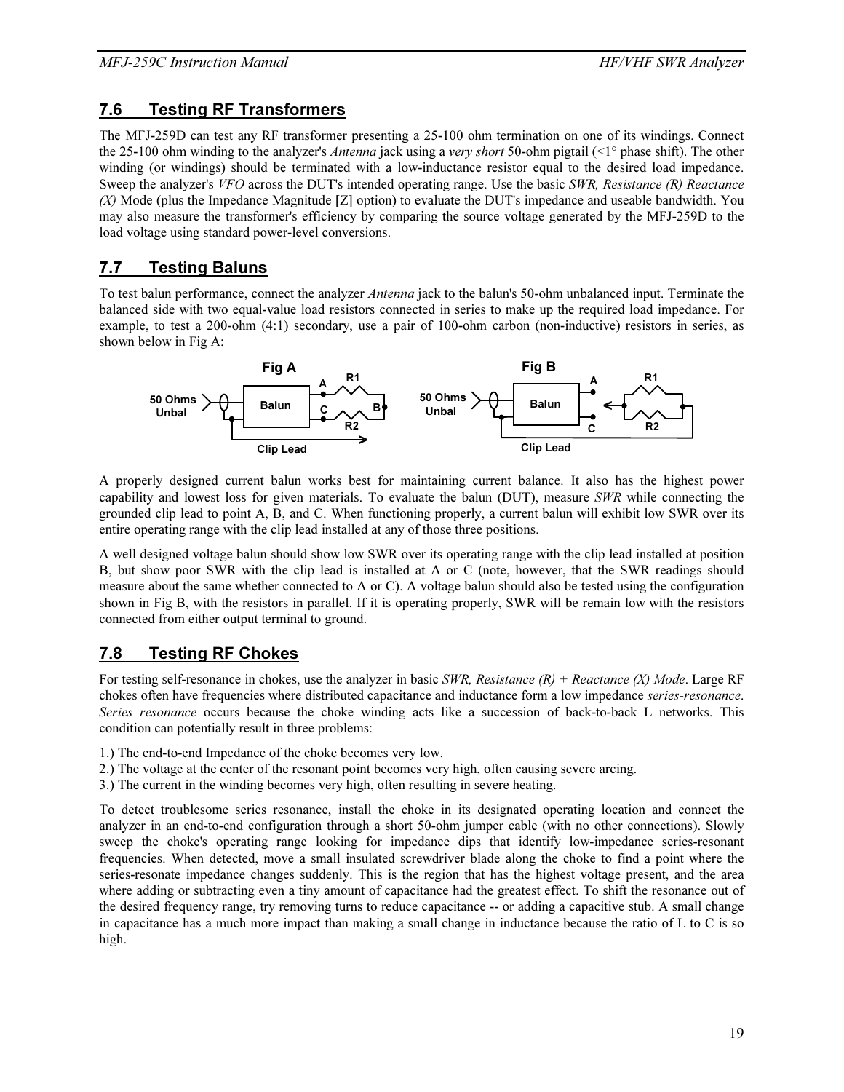# 7.6 Testing RF Transformers

The MFJ-259D can test any RF transformer presenting a 25-100 ohm termination on one of its windings. Connect the 25-100 ohm winding to the analyzer's *Antenna* jack using a very short 50-ohm pigtail (<1° phase shift). The other winding (or windings) should be terminated with a low-inductance resistor equal to the desired load impedance. Sweep the analyzer's VFO across the DUT's intended operating range. Use the basic SWR, Resistance (R) Reactance (X) Mode (plus the Impedance Magnitude [Z] option) to evaluate the DUT's impedance and useable bandwidth. You may also measure the transformer's efficiency by comparing the source voltage generated by the MFJ-259D to the load voltage using standard power-level conversions.

# 7.7 Testing Baluns

To test balun performance, connect the analyzer *Antenna* jack to the balun's 50-ohm unbalanced input. Terminate the balanced side with two equal-value load resistors connected in series to make up the required load impedance. For example, to test a 200-ohm (4:1) secondary, use a pair of 100-ohm carbon (non-inductive) resistors in series, as shown below in Fig A:



A properly designed current balun works best for maintaining current balance. It also has the highest power capability and lowest loss for given materials. To evaluate the balun (DUT), measure SWR while connecting the grounded clip lead to point A, B, and C. When functioning properly, a current balun will exhibit low SWR over its entire operating range with the clip lead installed at any of those three positions.

A well designed voltage balun should show low SWR over its operating range with the clip lead installed at position B, but show poor SWR with the clip lead is installed at A or C (note, however, that the SWR readings should measure about the same whether connected to A or C). A voltage balun should also be tested using the configuration shown in Fig B, with the resistors in parallel. If it is operating properly, SWR will be remain low with the resistors connected from either output terminal to ground.

# 7.8 Testing RF Chokes

For testing self-resonance in chokes, use the analyzer in basic SWR, Resistance  $(R)$  + Reactance  $(X)$  Mode. Large RF chokes often have frequencies where distributed capacitance and inductance form a low impedance *series-resonance*. Series resonance occurs because the choke winding acts like a succession of back-to-back L networks. This condition can potentially result in three problems:

- 1.) The end-to-end Impedance of the choke becomes very low.
- 2.) The voltage at the center of the resonant point becomes very high, often causing severe arcing.
- 3.) The current in the winding becomes very high, often resulting in severe heating.

To detect troublesome series resonance, install the choke in its designated operating location and connect the analyzer in an end-to-end configuration through a short 50-ohm jumper cable (with no other connections). Slowly sweep the choke's operating range looking for impedance dips that identify low-impedance series-resonant frequencies. When detected, move a small insulated screwdriver blade along the choke to find a point where the series-resonate impedance changes suddenly. This is the region that has the highest voltage present, and the area where adding or subtracting even a tiny amount of capacitance had the greatest effect. To shift the resonance out of the desired frequency range, try removing turns to reduce capacitance -- or adding a capacitive stub. A small change in capacitance has a much more impact than making a small change in inductance because the ratio of L to C is so high.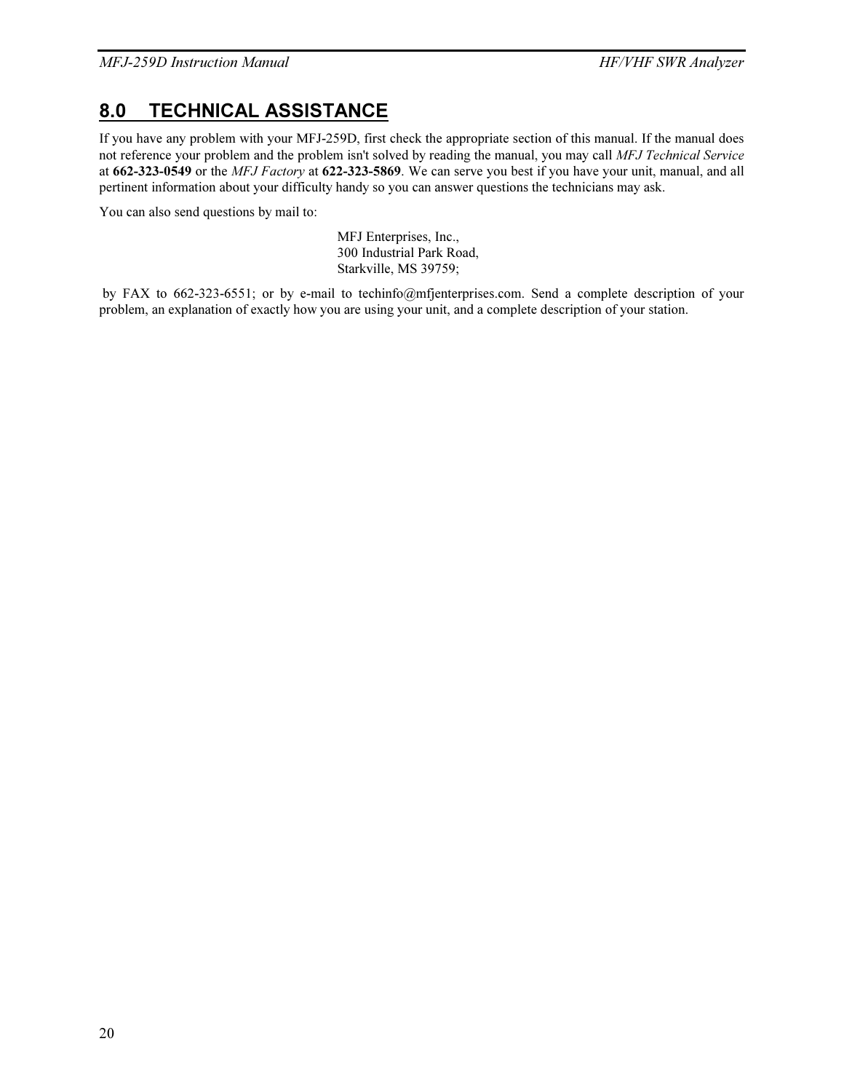# 8.0 TECHNICAL ASSISTANCE

If you have any problem with your MFJ-259D, first check the appropriate section of this manual. If the manual does not reference your problem and the problem isn't solved by reading the manual, you may call MFJ Technical Service at 662-323-0549 or the MFJ Factory at 622-323-5869. We can serve you best if you have your unit, manual, and all pertinent information about your difficulty handy so you can answer questions the technicians may ask.

You can also send questions by mail to:

MFJ Enterprises, Inc., 300 Industrial Park Road, Starkville, MS 39759;

 by FAX to 662-323-6551; or by e-mail to techinfo@mfjenterprises.com. Send a complete description of your problem, an explanation of exactly how you are using your unit, and a complete description of your station.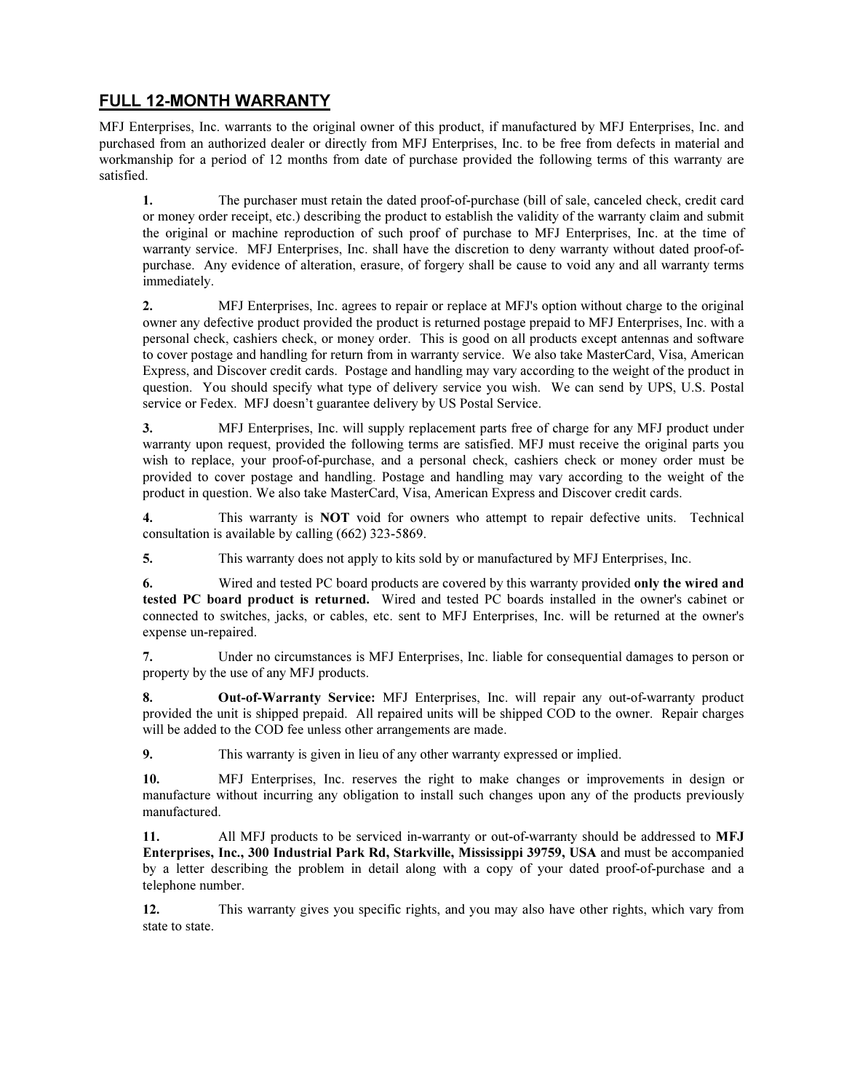# FULL 12-MONTH WARRANTY

MFJ Enterprises, Inc. warrants to the original owner of this product, if manufactured by MFJ Enterprises, Inc. and purchased from an authorized dealer or directly from MFJ Enterprises, Inc. to be free from defects in material and workmanship for a period of 12 months from date of purchase provided the following terms of this warranty are satisfied.

1. The purchaser must retain the dated proof-of-purchase (bill of sale, canceled check, credit card or money order receipt, etc.) describing the product to establish the validity of the warranty claim and submit the original or machine reproduction of such proof of purchase to MFJ Enterprises, Inc. at the time of warranty service. MFJ Enterprises, Inc. shall have the discretion to deny warranty without dated proof-ofpurchase. Any evidence of alteration, erasure, of forgery shall be cause to void any and all warranty terms immediately.

2. MFJ Enterprises, Inc. agrees to repair or replace at MFJ's option without charge to the original owner any defective product provided the product is returned postage prepaid to MFJ Enterprises, Inc. with a personal check, cashiers check, or money order. This is good on all products except antennas and software to cover postage and handling for return from in warranty service. We also take MasterCard, Visa, American Express, and Discover credit cards. Postage and handling may vary according to the weight of the product in question. You should specify what type of delivery service you wish. We can send by UPS, U.S. Postal service or Fedex. MFJ doesn't guarantee delivery by US Postal Service.

3. MFJ Enterprises, Inc. will supply replacement parts free of charge for any MFJ product under warranty upon request, provided the following terms are satisfied. MFJ must receive the original parts you wish to replace, your proof-of-purchase, and a personal check, cashiers check or money order must be provided to cover postage and handling. Postage and handling may vary according to the weight of the product in question. We also take MasterCard, Visa, American Express and Discover credit cards.

4. This warranty is **NOT** void for owners who attempt to repair defective units. Technical consultation is available by calling (662) 323-5869.

5. This warranty does not apply to kits sold by or manufactured by MFJ Enterprises, Inc.

6. Wired and tested PC board products are covered by this warranty provided only the wired and tested PC board product is returned. Wired and tested PC boards installed in the owner's cabinet or connected to switches, jacks, or cables, etc. sent to MFJ Enterprises, Inc. will be returned at the owner's expense un-repaired.

7. Under no circumstances is MFJ Enterprises, Inc. liable for consequential damages to person or property by the use of any MFJ products.

8. Out-of-Warranty Service: MFJ Enterprises, Inc. will repair any out-of-warranty product provided the unit is shipped prepaid. All repaired units will be shipped COD to the owner. Repair charges will be added to the COD fee unless other arrangements are made.

9. This warranty is given in lieu of any other warranty expressed or implied.

10. MFJ Enterprises, Inc. reserves the right to make changes or improvements in design or manufacture without incurring any obligation to install such changes upon any of the products previously manufactured.

11. All MFJ products to be serviced in-warranty or out-of-warranty should be addressed to MFJ Enterprises, Inc., 300 Industrial Park Rd, Starkville, Mississippi 39759, USA and must be accompanied by a letter describing the problem in detail along with a copy of your dated proof-of-purchase and a telephone number.

12. This warranty gives you specific rights, and you may also have other rights, which vary from state to state.